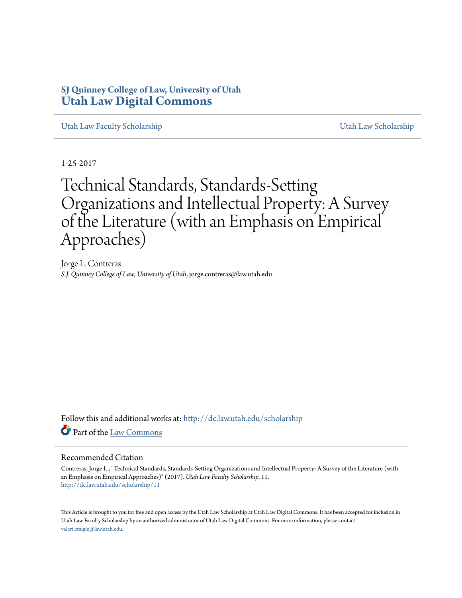# **SJ Quinney College of Law, University of Utah [Utah Law Digital Commons](http://dc.law.utah.edu?utm_source=dc.law.utah.edu%2Fscholarship%2F11&utm_medium=PDF&utm_campaign=PDFCoverPages)**

[Utah Law Faculty Scholarship](http://dc.law.utah.edu/scholarship?utm_source=dc.law.utah.edu%2Fscholarship%2F11&utm_medium=PDF&utm_campaign=PDFCoverPages) [Utah Law Scholarship](http://dc.law.utah.edu/utah_scholarship?utm_source=dc.law.utah.edu%2Fscholarship%2F11&utm_medium=PDF&utm_campaign=PDFCoverPages)

1-25-2017

# Technical Standards, Standards-Setting Organizations and Intellectual Property: A Survey of the Literature (with an Emphasis on Empirical Approaches)

Jorge L. Contreras *S.J. Quinney College of Law, University of Utah*, jorge.contreras@law.utah.edu

Follow this and additional works at: [http://dc.law.utah.edu/scholarship](http://dc.law.utah.edu/scholarship?utm_source=dc.law.utah.edu%2Fscholarship%2F11&utm_medium=PDF&utm_campaign=PDFCoverPages) Part of the [Law Commons](http://network.bepress.com/hgg/discipline/578?utm_source=dc.law.utah.edu%2Fscholarship%2F11&utm_medium=PDF&utm_campaign=PDFCoverPages)

#### Recommended Citation

Contreras, Jorge L., "Technical Standards, Standards-Setting Organizations and Intellectual Property: A Survey of the Literature (with an Emphasis on Empirical Approaches)" (2017). *Utah Law Faculty Scholarship*. 11. [http://dc.law.utah.edu/scholarship/11](http://dc.law.utah.edu/scholarship/11?utm_source=dc.law.utah.edu%2Fscholarship%2F11&utm_medium=PDF&utm_campaign=PDFCoverPages)

This Article is brought to you for free and open access by the Utah Law Scholarship at Utah Law Digital Commons. It has been accepted for inclusion in Utah Law Faculty Scholarship by an authorized administrator of Utah Law Digital Commons. For more information, please contact [valeri.craigle@law.utah.edu](mailto:valeri.craigle@law.utah.edu).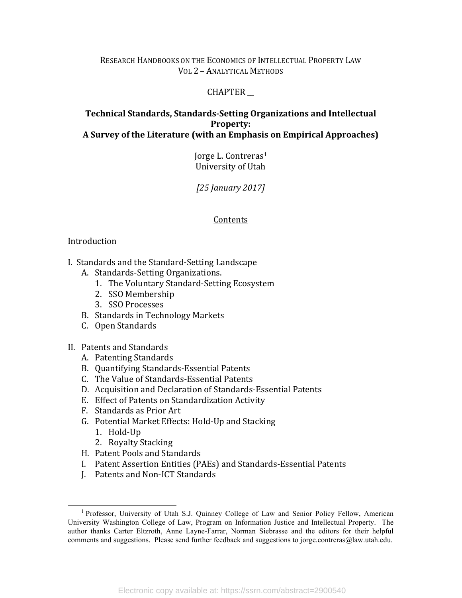#### RESEARCH HANDBOOKS ON THE ECONOMICS OF INTELLECTUAL PROPERTY LAW VOL 2 - ANALYTICAL METHODS

# **CHAPTER**

# **Technical Standards, Standards-Setting Organizations and Intellectual**  Property:

# **A Survey of the Literature (with an Emphasis on Empirical Approaches)**

Jorge L. Contreras<sup>1</sup> University of Utah

# *[25 January 2017]*

## Contents

## Introduction

- I. Standards and the Standard-Setting Landscape
	- A. Standards-Setting Organizations.
		- 1. The Voluntary Standard-Setting Ecosystem
		- 2. SSO Membership
		- 3. SSO Processes
	- B. Standards in Technology Markets
	- C. Open Standards

## II. Patents and Standards

- A. Patenting Standards
- B. Quantifying Standards-Essential Patents
- C. The Value of Standards-Essential Patents
- D. Acquisition and Declaration of Standards-Essential Patents
- E. Effect of Patents on Standardization Activity
- F. Standards as Prior Art
- G. Potential Market Effects: Hold-Up and Stacking
	- 1. Hold-Up
	- 2. Royalty Stacking
- H. Patent Pools and Standards
- I. Patent Assertion Entities (PAEs) and Standards-Essential Patents
- I. Patents and Non-ICT Standards

<sup>&</sup>lt;sup>1</sup> Professor, University of Utah S.J. Quinney College of Law and Senior Policy Fellow, American University Washington College of Law, Program on Information Justice and Intellectual Property. The author thanks Carter Eltzroth, Anne Layne-Farrar, Norman Siebrasse and the editors for their helpful comments and suggestions. Please send further feedback and suggestions to jorge.contreras@law.utah.edu.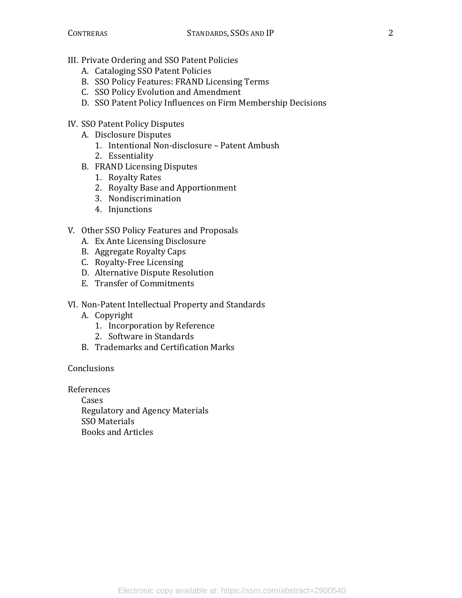- III. Private Ordering and SSO Patent Policies
	- A. Cataloging SSO Patent Policies
	- B. SSO Policy Features: FRAND Licensing Terms
	- C. SSO Policy Evolution and Amendment
	- D. SSO Patent Policy Influences on Firm Membership Decisions
- IV. SSO Patent Policy Disputes
	- A. Disclosure Disputes
		- 1. Intentional Non-disclosure Patent Ambush
		- 2. Essentiality
	- B. FRAND Licensing Disputes
		- 1. Royalty Rates
		- 2. Royalty Base and Apportionment
		- 3. Nondiscrimination
		- 4. Injunctions
- V. Other SSO Policy Features and Proposals
	- A. Ex Ante Licensing Disclosure
	- B. Aggregate Royalty Caps
	- C. Royalty-Free Licensing
	- D. Alternative Dispute Resolution
	- E. Transfer of Commitments
- VI. Non-Patent Intellectual Property and Standards
	- A. Copyright
		- 1. Incorporation by Reference
		- 2. Software in Standards
	- B. Trademarks and Certification Marks

## Conclusions

References

**Cases** Regulatory and Agency Materials SSO Materials **Books and Articles**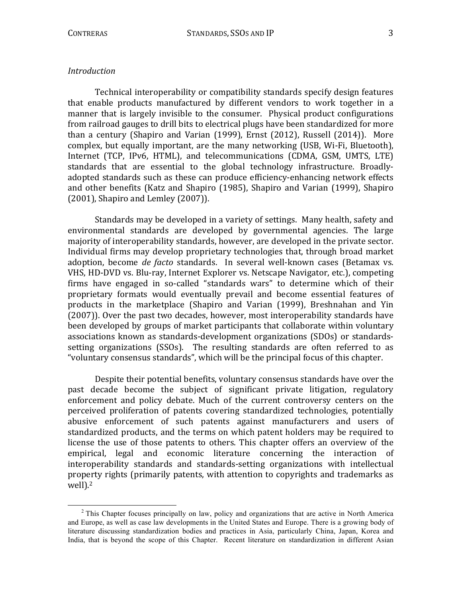#### *Introduction*

Technical interoperability or compatibility standards specify design features that enable products manufactured by different vendors to work together in a manner that is largely invisible to the consumer. Physical product configurations from railroad gauges to drill bits to electrical plugs have been standardized for more than a century (Shapiro and Varian  $(1999)$ , Ernst  $(2012)$ , Russell  $(2014)$ ). More complex, but equally important, are the many networking (USB, Wi-Fi, Bluetooth), Internet (TCP, IPv6, HTML), and telecommunications (CDMA, GSM, UMTS, LTE) standards that are essential to the global technology infrastructure. Broadlyadopted standards such as these can produce efficiency-enhancing network effects and other benefits (Katz and Shapiro (1985), Shapiro and Varian (1999), Shapiro  $(2001)$ , Shapiro and Lemley  $(2007)$ ).

Standards may be developed in a variety of settings. Many health, safety and environmental standards are developed by governmental agencies. The large majority of interoperability standards, however, are developed in the private sector. Individual firms may develop proprietary technologies that, through broad market adoption, become *de facto* standards. In several well-known cases (Betamax vs. VHS, HD-DVD vs. Blu-ray, Internet Explorer vs. Netscape Navigator, etc.), competing firms have engaged in so-called "standards wars" to determine which of their proprietary formats would eventually prevail and become essential features of products in the marketplace (Shapiro and Varian (1999), Breshnahan and Yin (2007)). Over the past two decades, however, most interoperability standards have been developed by groups of market participants that collaborate within voluntary associations known as standards-development organizations (SDOs) or standardssetting organizations (SSOs). The resulting standards are often referred to as "voluntary consensus standards", which will be the principal focus of this chapter.

Despite their potential benefits, voluntary consensus standards have over the past decade become the subject of significant private litigation, regulatory enforcement and policy debate. Much of the current controversy centers on the perceived proliferation of patents covering standardized technologies, potentially abusive enforcement of such patents against manufacturers and users of standardized products, and the terms on which patent holders may be required to license the use of those patents to others. This chapter offers an overview of the empirical, legal and economic literature concerning the interaction of interoperability standards and standards-setting organizations with intellectual property rights (primarily patents, with attention to copyrights and trademarks as well). 2

<sup>&</sup>lt;sup>2</sup> This Chapter focuses principally on law, policy and organizations that are active in North America and Europe, as well as case law developments in the United States and Europe. There is a growing body of literature discussing standardization bodies and practices in Asia, particularly China, Japan, Korea and India, that is beyond the scope of this Chapter. Recent literature on standardization in different Asian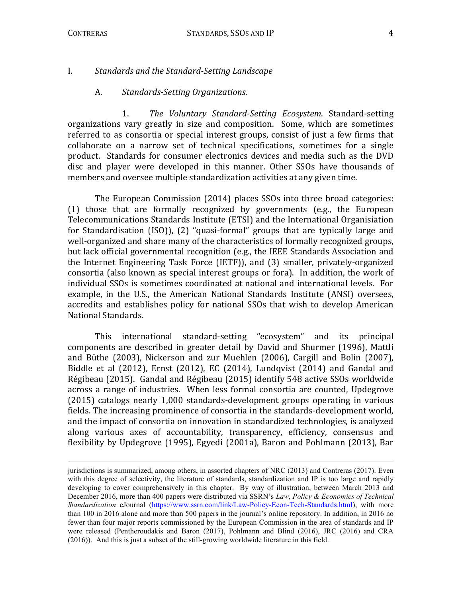#### I. *Standards and the Standard-Setting Landscape*

#### A. *Standards-Setting Organizations*.

1. *The Voluntary Standard-Setting Ecosystem*. Standard-setting organizations vary greatly in size and composition. Some, which are sometimes referred to as consortia or special interest groups, consist of just a few firms that collaborate on a narrow set of technical specifications, sometimes for a single product. Standards for consumer electronics devices and media such as the DVD disc and player were developed in this manner. Other SSOs have thousands of members and oversee multiple standardization activities at any given time.

The European Commission (2014) places SSOs into three broad categories:  $(1)$  those that are formally recognized by governments (e.g., the European Telecommunications Standards Institute (ETSI) and the International Organisiation for Standardisation  $(ISO)$ ),  $(2)$  "quasi-formal" groups that are typically large and well-organized and share many of the characteristics of formally recognized groups, but lack official governmental recognition (e.g., the IEEE Standards Association and the Internet Engineering Task Force (IETF)), and (3) smaller, privately-organized consortia (also known as special interest groups or fora). In addition, the work of individual SSOs is sometimes coordinated at national and international levels. For example, in the U.S., the American National Standards Institute (ANSI) oversees, accredits and establishes policy for national SSOs that wish to develop American National Standards.

This international standard-setting "ecosystem" and its principal components are described in greater detail by David and Shurmer (1996), Mattli and Büthe (2003), Nickerson and zur Muehlen (2006), Cargill and Bolin (2007), Biddle et al  $(2012)$ , Ernst  $(2012)$ , EC  $(2014)$ , Lundqvist  $(2014)$  and Gandal and Régibeau (2015). Gandal and Régibeau (2015) identify 548 active SSOs worldwide across a range of industries. When less formal consortia are counted, Updegrove  $(2015)$  catalogs nearly 1,000 standards-development groups operating in various fields. The increasing prominence of consortia in the standards-development world, and the impact of consortia on innovation in standardized technologies, is analyzed along various axes of accountability, transparency, efficiency, consensus and flexibility by Updegrove (1995), Egyedi (2001a), Baron and Pohlmann (2013), Bar

<u> 1989 - Andrea San Andrea San Andrea San Andrea San Andrea San Andrea San Andrea San Andrea San Andrea San An</u>

jurisdictions is summarized, among others, in assorted chapters of NRC (2013) and Contreras (2017). Even with this degree of selectivity, the literature of standards, standardization and IP is too large and rapidly developing to cover comprehensively in this chapter. By way of illustration, between March 2013 and December 2016, more than 400 papers were distributed via SSRN's *Law, Policy & Economics of Technical Standardization* eJournal (https://www.ssrn.com/link/Law-Policy-Econ-Tech-Standards.html), with more than 100 in 2016 alone and more than 500 papers in the journal's online repository. In addition, in 2016 no fewer than four major reports commissioned by the European Commission in the area of standards and IP were released (Pentheroudakis and Baron (2017), Pohlmann and Blind (2016), JRC (2016) and CRA (2016)). And this is just a subset of the still-growing worldwide literature in this field.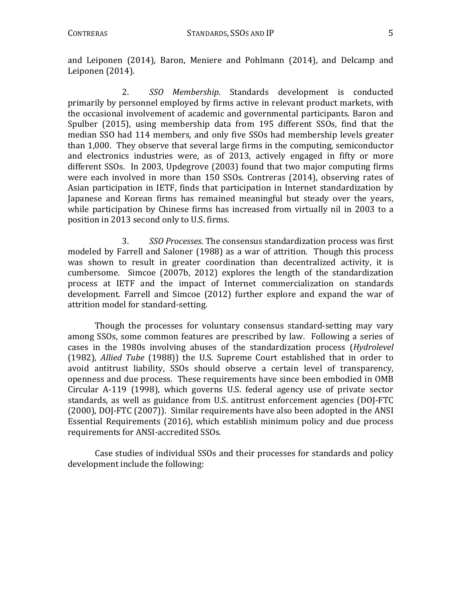and Leiponen (2014), Baron, Meniere and Pohlmann (2014), and Delcamp and Leiponen (2014).

2. *SSO Membership*. Standards development is conducted primarily by personnel employed by firms active in relevant product markets, with the occasional involvement of academic and governmental participants. Baron and Spulber (2015), using membership data from 195 different SSOs, find that the median SSO had 114 members, and only five SSOs had membership levels greater than 1,000. They observe that several large firms in the computing, semiconductor and electronics industries were, as of 2013, actively engaged in fifty or more different SSOs. In 2003, Updegrove  $(2003)$  found that two major computing firms were each involved in more than 150 SSOs. Contreras (2014), observing rates of Asian participation in IETF, finds that participation in Internet standardization by Japanese and Korean firms has remained meaningful but steady over the years, while participation by Chinese firms has increased from virtually nil in 2003 to a position in 2013 second only to U.S. firms.

3. *SSO Processes*. The consensus standardization process was first modeled by Farrell and Saloner (1988) as a war of attrition. Though this process was shown to result in greater coordination than decentralized activity, it is cumbersome. Simcoe (2007b, 2012) explores the length of the standardization process at IETF and the impact of Internet commercialization on standards development. Farrell and Simcoe (2012) further explore and expand the war of attrition model for standard-setting.

Though the processes for voluntary consensus standard-setting may vary among SSOs, some common features are prescribed by law. Following a series of cases in the 1980s involving abuses of the standardization process (*Hydrolevel* (1982), *Allied Tube* (1988)) the U.S. Supreme Court established that in order to avoid antitrust liability, SSOs should observe a certain level of transparency, openness and due process. These requirements have since been embodied in OMB Circular A-119 (1998), which governs U.S. federal agency use of private sector standards, as well as guidance from U.S. antitrust enforcement agencies (DOJ-FTC (2000), DOJ-FTC (2007)). Similar requirements have also been adopted in the ANSI Essential Requirements (2016), which establish minimum policy and due process requirements for ANSI-accredited SSOs.

Case studies of individual SSOs and their processes for standards and policy development include the following: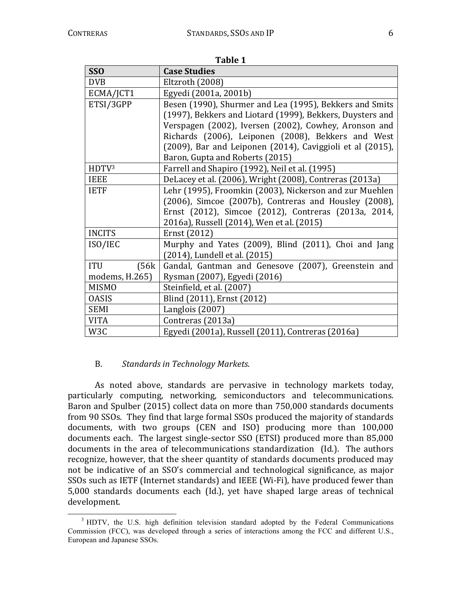| <b>SSO</b>          | <b>Case Studies</b>                                                |
|---------------------|--------------------------------------------------------------------|
| <b>DVB</b>          | Eltzroth (2008)                                                    |
| ECMA/JCT1           | Egyedi (2001a, 2001b)                                              |
| ETSI/3GPP           | Besen (1990), Shurmer and Lea (1995), Bekkers and Smits            |
|                     | (1997), Bekkers and Liotard (1999), Bekkers, Duysters and          |
|                     | Verspagen (2002), Iversen (2002), Cowhey, Aronson and              |
|                     | Richards (2006), Leiponen (2008), Bekkers and West                 |
|                     | $(2009)$ , Bar and Leiponen $(2014)$ , Caviggioli et al $(2015)$ , |
|                     | Baron, Gupta and Roberts (2015)                                    |
| HDTV <sup>3</sup>   | Farrell and Shapiro (1992), Neil et al. (1995)                     |
| <b>IEEE</b>         | DeLacey et al. (2006), Wright (2008), Contreras (2013a)            |
| <b>IETF</b>         | Lehr (1995), Froomkin (2003), Nickerson and zur Muehlen            |
|                     | $(2006)$ , Simcoe $(2007b)$ , Contreras and Housley $(2008)$ ,     |
|                     | Ernst (2012), Simcoe (2012), Contreras (2013a, 2014,               |
|                     | 2016a), Russell (2014), Wen et al. (2015)                          |
| <b>INCITS</b>       | Ernst (2012)                                                       |
| ISO/IEC             | Murphy and Yates (2009), Blind (2011), Choi and Jang               |
|                     | (2014), Lundell et al. (2015)                                      |
| <b>ITU</b><br>(56k) | Gandal, Gantman and Genesove (2007), Greenstein and                |
| modems, H.265)      | Rysman (2007), Egyedi (2016)                                       |
| <b>MISMO</b>        | Steinfield, et al. (2007)                                          |

**Table 1** 

## B. *Standards in Technology Markets.*

OASIS | Blind (2011), Ernst (2012)

SEMI | Langlois (2007) VITA | Contreras (2013a)

As noted above, standards are pervasive in technology markets today, particularly computing, networking, semiconductors and telecommunications. Baron and Spulber (2015) collect data on more than 750,000 standards documents from 90 SSOs. They find that large formal SSOs produced the majority of standards documents, with two groups (CEN and ISO) producing more than 100,000 documents each. The largest single-sector SSO (ETSI) produced more than 85,000 documents in the area of telecommunications standardization (Id.). The authors recognize, however, that the sheer quantity of standards documents produced may not be indicative of an SSO's commercial and technological significance, as major SSOs such as IETF (Internet standards) and IEEE (Wi-Fi), have produced fewer than 5,000 standards documents each (Id.), yet have shaped large areas of technical development.

W3C  $\vert$  Egyedi (2001a), Russell (2011), Contreras (2016a)

<sup>&</sup>lt;sup>3</sup> HDTV, the U.S. high definition television standard adopted by the Federal Communications Commission (FCC), was developed through a series of interactions among the FCC and different U.S., European and Japanese SSOs.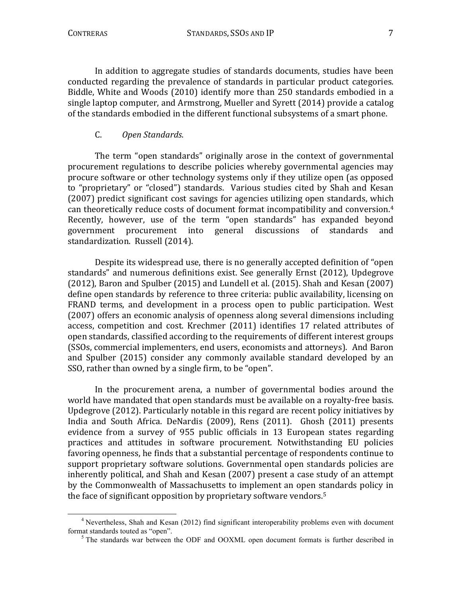In addition to aggregate studies of standards documents, studies have been conducted regarding the prevalence of standards in particular product categories. Biddle, White and Woods (2010) identify more than 250 standards embodied in a single laptop computer, and Armstrong, Mueller and Syrett (2014) provide a catalog of the standards embodied in the different functional subsystems of a smart phone.

#### C. *Open Standards*.

The term "open standards" originally arose in the context of governmental procurement regulations to describe policies whereby governmental agencies may procure software or other technology systems only if they utilize open (as opposed to "proprietary" or "closed") standards. Various studies cited by Shah and Kesan (2007) predict significant cost savings for agencies utilizing open standards, which can theoretically reduce costs of document format incompatibility and conversion. $4$ Recently, however, use of the term "open standards" has expanded beyond government procurement into general discussions of standards and standardization. Russell (2014).

Despite its widespread use, there is no generally accepted definition of "open" standards" and numerous definitions exist. See generally Ernst (2012), Updegrove  $(2012)$ , Baron and Spulber  $(2015)$  and Lundell et al.  $(2015)$ . Shah and Kesan  $(2007)$ define open standards by reference to three criteria: public availability, licensing on FRAND terms, and development in a process open to public participation. West (2007) offers an economic analysis of openness along several dimensions including access, competition and cost. Krechmer (2011) identifies 17 related attributes of open standards, classified according to the requirements of different interest groups (SSOs, commercial implementers, end users, economists and attorneys). And Baron and Spulber (2015) consider any commonly available standard developed by an SSO, rather than owned by a single firm, to be "open".

In the procurement arena, a number of governmental bodies around the world have mandated that open standards must be available on a royalty-free basis. Updegrove (2012). Particularly notable in this regard are recent policy initiatives by India and South Africa. DeNardis (2009), Rens (2011). Ghosh (2011) presents evidence from a survey of 955 public officials in 13 European states regarding practices and attitudes in software procurement. Notwithstanding EU policies favoring openness, he finds that a substantial percentage of respondents continue to support proprietary software solutions. Governmental open standards policies are inherently political, and Shah and Kesan (2007) present a case study of an attempt by the Commonwealth of Massachusetts to implement an open standards policy in the face of significant opposition by proprietary software vendors.<sup>5</sup>

<sup>&</sup>lt;sup>4</sup> Nevertheless, Shah and Kesan (2012) find significant interoperability problems even with document format standards touted as "open".<br><sup>5</sup> The standards war between the ODF and OOXML open document formats is further described in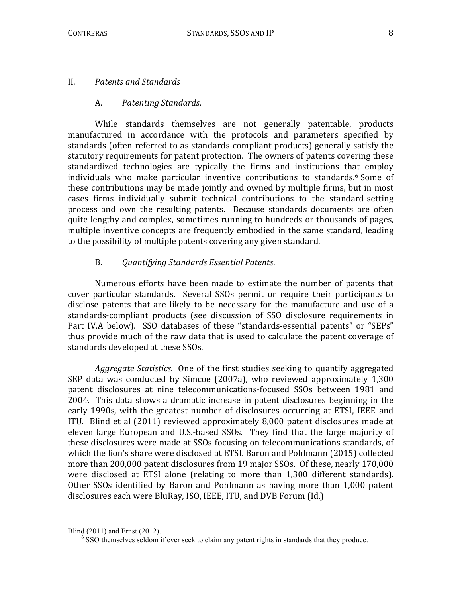#### II. *Patents and Standards*

#### A. *Patenting Standards.*

While standards themselves are not generally patentable, products manufactured in accordance with the protocols and parameters specified by standards (often referred to as standards-compliant products) generally satisfy the statutory requirements for patent protection. The owners of patents covering these standardized technologies are typically the firms and institutions that employ individuals who make particular inventive contributions to standards.<sup>6</sup> Some of these contributions may be made jointly and owned by multiple firms, but in most cases firms individually submit technical contributions to the standard-setting process and own the resulting patents. Because standards documents are often quite lengthy and complex, sometimes running to hundreds or thousands of pages, multiple inventive concepts are frequently embodied in the same standard, leading to the possibility of multiple patents covering any given standard.

## B. *Quantifying Standards Essential Patents*.

Numerous efforts have been made to estimate the number of patents that cover particular standards. Several SSOs permit or require their participants to disclose patents that are likely to be necessary for the manufacture and use of a standards-compliant products (see discussion of SSO disclosure requirements in Part IV.A below). SSO databases of these "standards-essential patents" or "SEPs" thus provide much of the raw data that is used to calculate the patent coverage of standards developed at these SSOs.

*Aggregate Statistics.* One of the first studies seeking to quantify aggregated SEP data was conducted by Simcoe (2007a), who reviewed approximately 1,300 patent disclosures at nine telecommunications-focused SSOs between 1981 and 2004. This data shows a dramatic increase in patent disclosures beginning in the early 1990s, with the greatest number of disclosures occurring at ETSI, IEEE and ITU. Blind et al (2011) reviewed approximately 8,000 patent disclosures made at eleven large European and U.S.-based SSOs. They find that the large majority of these disclosures were made at SSOs focusing on telecommunications standards, of which the lion's share were disclosed at ETSI. Baron and Pohlmann (2015) collected more than  $200,000$  patent disclosures from 19 major SSOs. Of these, nearly 170,000 were disclosed at ETSI alone (relating to more than 1,300 different standards). Other SSOs identified by Baron and Pohlmann as having more than 1,000 patent disclosures each were BluRay, ISO, IEEE, ITU, and DVB Forum (Id.)

<u> 1989 - Andrea San Andrea San Andrea San Andrea San Andrea San Andrea San Andrea San Andrea San Andrea San An</u>

Blind (2011) and Ernst (2012).<br><sup>6</sup> SSO themselves seldom if ever seek to claim any patent rights in standards that they produce.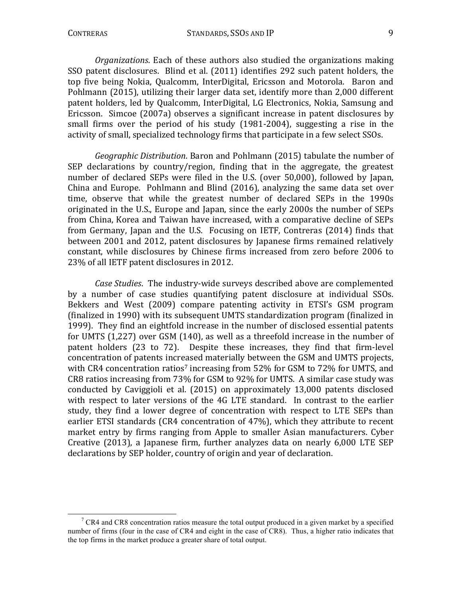*Organizations*. Each of these authors also studied the organizations making SSO patent disclosures. Blind et al. (2011) identifies 292 such patent holders, the top five being Nokia, Qualcomm, InterDigital, Ericsson and Motorola. Baron and Pohlmann (2015), utilizing their larger data set, identify more than 2,000 different patent holders, led by Qualcomm, InterDigital, LG Electronics, Nokia, Samsung and Ericsson. Simcoe (2007a) observes a significant increase in patent disclosures by small firms over the period of his study  $(1981-2004)$ , suggesting a rise in the activity of small, specialized technology firms that participate in a few select SSOs.

*Geographic Distribution*. Baron and Pohlmann (2015) tabulate the number of SEP declarations by country/region, finding that in the aggregate, the greatest number of declared SEPs were filed in the U.S. (over 50,000), followed by Japan, China and Europe. Pohlmann and Blind  $(2016)$ , analyzing the same data set over time, observe that while the greatest number of declared SEPs in the 1990s originated in the U.S., Europe and Japan, since the early 2000s the number of SEPs from China, Korea and Taiwan have increased, with a comparative decline of SEPs from Germany, Japan and the U.S. Focusing on IETF, Contreras (2014) finds that between 2001 and 2012, patent disclosures by Japanese firms remained relatively constant, while disclosures by Chinese firms increased from zero before 2006 to 23% of all IETF patent disclosures in 2012.

*Case Studies*. The industry-wide surveys described above are complemented by a number of case studies quantifying patent disclosure at individual SSOs. Bekkers and West (2009) compare patenting activity in ETSI's GSM program (finalized in 1990) with its subsequent UMTS standardization program (finalized in 1999). They find an eightfold increase in the number of disclosed essential patents for UMTS  $(1,227)$  over GSM  $(140)$ , as well as a threefold increase in the number of patent holders (23 to 72). Despite these increases, they find that firm-level concentration of patents increased materially between the GSM and UMTS projects, with CR4 concentration ratios<sup>7</sup> increasing from  $52\%$  for GSM to  $72\%$  for UMTS, and  $CR8$  ratios increasing from  $73\%$  for GSM to  $92\%$  for UMTS. A similar case study was conducted by Caviggioli et al. (2015) on approximately 13,000 patents disclosed with respect to later versions of the 4G LTE standard. In contrast to the earlier study, they find a lower degree of concentration with respect to LTE SEPs than earlier ETSI standards (CR4 concentration of 47%), which they attribute to recent market entry by firms ranging from Apple to smaller Asian manufacturers. Cyber Creative  $(2013)$ , a Japanese firm, further analyzes data on nearly  $6,000$  LTE SEP declarations by SEP holder, country of origin and year of declaration.

 $7$  CR4 and CR8 concentration ratios measure the total output produced in a given market by a specified number of firms (four in the case of CR4 and eight in the case of CR8). Thus, a higher ratio indicates that the top firms in the market produce a greater share of total output.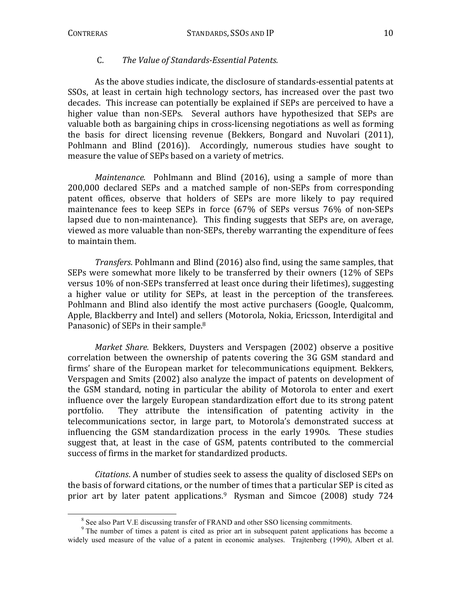## C. The Value of Standards-Essential Patents.

As the above studies indicate, the disclosure of standards-essential patents at SSOs, at least in certain high technology sectors, has increased over the past two decades. This increase can potentially be explained if SEPs are perceived to have a higher value than non-SEPs. Several authors have hypothesized that SEPs are valuable both as bargaining chips in cross-licensing negotiations as well as forming the basis for direct licensing revenue (Bekkers, Bongard and Nuvolari (2011), Pohlmann and Blind (2016)). Accordingly, numerous studies have sought to measure the value of SEPs based on a variety of metrics.

*Maintenance.* Pohlmann and Blind (2016), using a sample of more than 200,000 declared SEPs and a matched sample of non-SEPs from corresponding patent offices, observe that holders of SEPs are more likely to pay required maintenance fees to keep SEPs in force (67% of SEPs versus 76% of non-SEPs lapsed due to non-maintenance). This finding suggests that SEPs are, on average, viewed as more valuable than non-SEPs, thereby warranting the expenditure of fees to maintain them.

*Transfers*. Pohlmann and Blind (2016) also find, using the same samples, that SEPs were somewhat more likely to be transferred by their owners (12% of SEPs versus 10% of non-SEPs transferred at least once during their lifetimes), suggesting a higher value or utility for SEPs, at least in the perception of the transferees. Pohlmann and Blind also identify the most active purchasers (Google, Qualcomm, Apple, Blackberry and Intel) and sellers (Motorola, Nokia, Ericsson, Interdigital and Panasonic) of SEPs in their sample.<sup>8</sup>

*Market Share.* Bekkers, Duysters and Verspagen (2002) observe a positive correlation between the ownership of patents covering the 3G GSM standard and firms' share of the European market for telecommunications equipment. Bekkers, Verspagen and Smits (2002) also analyze the impact of patents on development of the GSM standard, noting in particular the ability of Motorola to enter and exert influence over the largely European standardization effort due to its strong patent portfolio. They attribute the intensification of patenting activity in the telecommunications sector, in large part, to Motorola's demonstrated success at influencing the GSM standardization process in the early 1990s. These studies suggest that, at least in the case of GSM, patents contributed to the commercial success of firms in the market for standardized products.

*Citations*. A number of studies seek to assess the quality of disclosed SEPs on the basis of forward citations, or the number of times that a particular SEP is cited as prior art by later patent applications.<sup>9</sup> Rysman and Simcoe (2008) study 724

 <sup>8</sup> See also Part V.E discussing transfer of FRAND and other SSO licensing commitments.

<sup>&</sup>lt;sup>9</sup> The number of times a patent is cited as prior art in subsequent patent applications has become a widely used measure of the value of a patent in economic analyses. Trajtenberg (1990), Albert et al.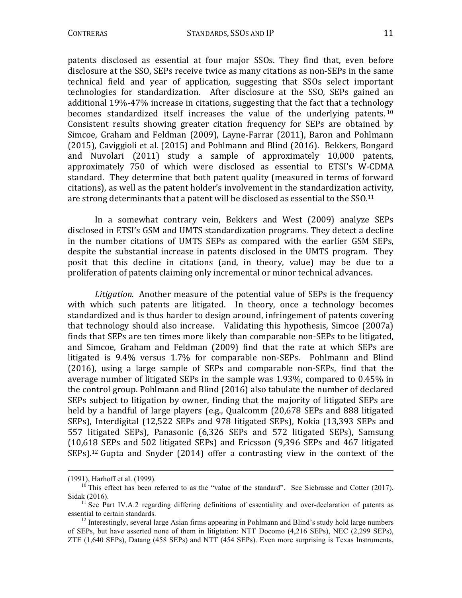patents disclosed as essential at four major SSOs. They find that, even before disclosure at the SSO, SEPs receive twice as many citations as non-SEPs in the same technical field and year of application, suggesting that SSOs select important technologies for standardization. After disclosure at the SSO, SEPs gained an additional 19%-47% increase in citations, suggesting that the fact that a technology becomes standardized itself increases the value of the underlying patents.  $10$ Consistent results showing greater citation frequency for SEPs are obtained by Simcoe, Graham and Feldman (2009), Layne-Farrar (2011), Baron and Pohlmann  $(2015)$ , Caviggioli et al.  $(2015)$  and Pohlmann and Blind  $(2016)$ . Bekkers, Bongard and Nuvolari (2011) study a sample of approximately 10,000 patents, approximately 750 of which were disclosed as essential to ETSI's W-CDMA standard. They determine that both patent quality (measured in terms of forward citations), as well as the patent holder's involvement in the standardization activity, are strong determinants that a patent will be disclosed as essential to the  $SSO<sup>11</sup>$ 

In a somewhat contrary vein, Bekkers and West (2009) analyze SEPs disclosed in ETSI's GSM and UMTS standardization programs. They detect a decline in the number citations of UMTS SEPs as compared with the earlier GSM SEPs, despite the substantial increase in patents disclosed in the UMTS program. They posit that this decline in citations (and, in theory, value) may be due to a proliferation of patents claiming only incremental or minor technical advances.

*Litigation.* Another measure of the potential value of SEPs is the frequency with which such patents are litigated. In theory, once a technology becomes standardized and is thus harder to design around, infringement of patents covering that technology should also increase. Validating this hypothesis, Simcoe  $(2007a)$ finds that SEPs are ten times more likely than comparable non-SEPs to be litigated, and Simcoe, Graham and Feldman (2009) find that the rate at which SEPs are litigated is  $9.4\%$  versus  $1.7\%$  for comparable non-SEPs. Pohlmann and Blind (2016), using a large sample of SEPs and comparable non-SEPs, find that the average number of litigated SEPs in the sample was  $1.93\%$ , compared to  $0.45\%$  in the control group. Pohlmann and Blind (2016) also tabulate the number of declared SEPs subject to litigation by owner, finding that the majority of litigated SEPs are held by a handful of large players (e.g., Qualcomm (20,678 SEPs and 888 litigated SEPs), Interdigital (12,522 SEPs and 978 litigated SEPs), Nokia (13,393 SEPs and 557 litigated SEPs), Panasonic (6,326 SEPs and 572 litigated SEPs), Samsung  $(10,618$  SEPs and 502 litigated SEPs) and Ericsson  $(9,396$  SEPs and 467 litigated SEPs).<sup>12</sup> Gupta and Snyder (2014) offer a contrasting view in the context of the

<u> 1989 - Andrea Santa Andrea Andrea Andrea Andrea Andrea Andrea Andrea Andrea Andrea Andrea Andrea Andrea Andr</u>

<sup>(1991),</sup> Harhoff et al. (1999).<br><sup>10</sup> This effect has been referred to as the "value of the standard". See Siebrasse and Cotter (2017), Sidak (2016).<br><sup>11</sup> See Part IV.A.2 regarding differing definitions of essentiality and over-declaration of patents as

essential to certain standards.<br><sup>12</sup> Interestingly, several large Asian firms appearing in Pohlmann and Blind's study hold large numbers

of SEPs, but have asserted none of them in litigtation: NTT Docomo (4,216 SEPs), NEC (2,299 SEPs), ZTE (1,640 SEPs), Datang (458 SEPs) and NTT (454 SEPs). Even more surprising is Texas Instruments,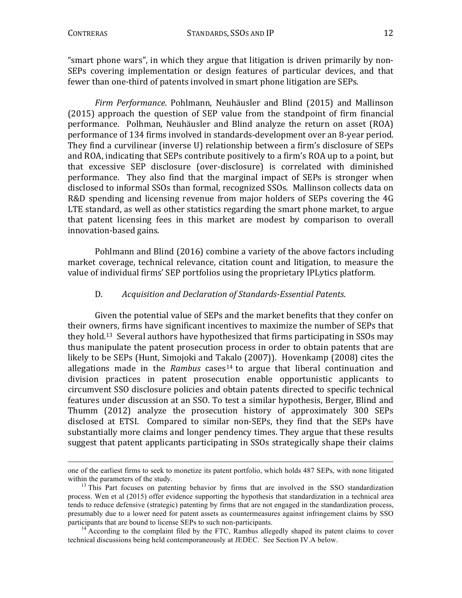"smart phone wars", in which they argue that litigation is driven primarily by non-SEPs covering implementation or design features of particular devices, and that fewer than one-third of patents involved in smart phone litigation are SEPs.

Firm Performance. Pohlmann, Neuhäusler and Blind (2015) and Mallinson  $(2015)$  approach the question of SEP value from the standpoint of firm financial performance. Polhman, Neuhäusler and Blind analyze the return on asset (ROA) performance of 134 firms involved in standards-development over an 8-year period. They find a curvilinear (inverse U) relationship between a firm's disclosure of SEPs and ROA, indicating that SEPs contribute positively to a firm's ROA up to a point, but that excessive SEP disclosure (over-disclosure) is correlated with diminished performance. They also find that the marginal impact of SEPs is stronger when disclosed to informal SSOs than formal, recognized SSOs. Mallinson collects data on R&D spending and licensing revenue from major holders of SEPs covering the 4G LTE standard, as well as other statistics regarding the smart phone market, to argue that patent licensing fees in this market are modest by comparison to overall innovation-based gains.

Pohlmann and Blind (2016) combine a variety of the above factors including market coverage, technical relevance, citation count and litigation, to measure the value of individual firms' SEP portfolios using the proprietary IPLytics platform.

#### D. *Acquisition and Declaration of Standards-Essential Patents*.

Given the potential value of SEPs and the market benefits that they confer on their owners, firms have significant incentives to maximize the number of SEPs that they hold.<sup>13</sup> Several authors have hypothesized that firms participating in SSOs may thus manipulate the patent prosecution process in order to obtain patents that are likely to be SEPs (Hunt, Simojoki and Takalo (2007)). Hovenkamp (2008) cites the allegations made in the *Rambus* cases<sup>14</sup> to argue that liberal continuation and division practices in patent prosecution enable opportunistic applicants to circumvent SSO disclosure policies and obtain patents directed to specific technical features under discussion at an SSO. To test a similar hypothesis, Berger, Blind and Thumm (2012) analyze the prosecution history of approximately 300 SEPs disclosed at ETSI. Compared to similar non-SEPs, they find that the SEPs have substantially more claims and longer pendency times. They argue that these results suggest that patent applicants participating in SSOs strategically shape their claims

<sup>&</sup>lt;u> 1989 - Andrea San Andrea San Andrea San Andrea San Andrea San Andrea San Andrea San Andrea San Andrea San An</u> one of the earliest firms to seek to monetize its patent portfolio, which holds 487 SEPs, with none litigated within the parameters of the study.<br><sup>13</sup> This Part focuses on patenting behavior by firms that are involved in the SSO standardization

process. Wen et al (2015) offer evidence supporting the hypothesis that standardization in a technical area tends to reduce defensive (strategic) patenting by firms that are not engaged in the standardization process, presumably due to a lower need for patent assets as countermeasures against infringement claims by SSO participants that are bound to license SEPs to such non-participants.<br><sup>14</sup> According to the complaint filed by the FTC, Rambus allegedly shaped its patent claims to cover

technical discussions being held contemporaneously at JEDEC. See Section IV.A below.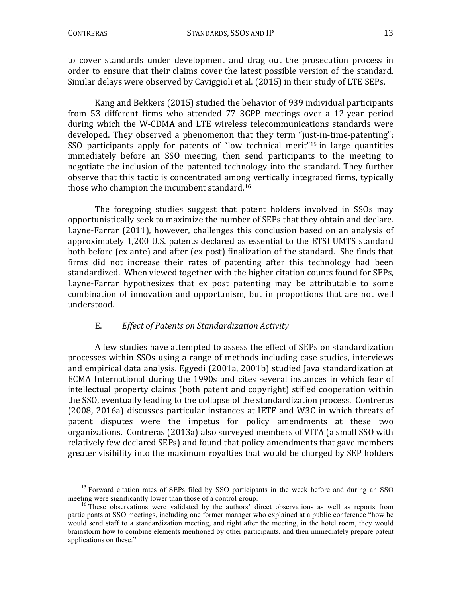to cover standards under development and drag out the prosecution process in order to ensure that their claims cover the latest possible version of the standard. Similar delays were observed by Caviggioli et al. (2015) in their study of LTE SEPs.

Kang and Bekkers (2015) studied the behavior of 939 individual participants from 53 different firms who attended 77 3GPP meetings over a 12-year period during which the W-CDMA and LTE wireless telecommunications standards were developed. They observed a phenomenon that they term "just-in-time-patenting": SSO participants apply for patents of "low technical merit"<sup>15</sup> in large quantities immediately before an SSO meeting, then send participants to the meeting to negotiate the inclusion of the patented technology into the standard. They further observe that this tactic is concentrated among vertically integrated firms, typically those who champion the incumbent standard.<sup>16</sup>

The foregoing studies suggest that patent holders involved in SSOs may opportunistically seek to maximize the number of SEPs that they obtain and declare. Layne-Farrar (2011), however, challenges this conclusion based on an analysis of approximately 1,200 U.S. patents declared as essential to the ETSI UMTS standard both before (ex ante) and after (ex post) finalization of the standard. She finds that firms did not increase their rates of patenting after this technology had been standardized. When viewed together with the higher citation counts found for SEPs, Layne-Farrar hypothesizes that ex post patenting may be attributable to some combination of innovation and opportunism, but in proportions that are not well understood.

## E. *Effect of Patents on Standardization Activity*

A few studies have attempted to assess the effect of SEPs on standardization processes within SSOs using a range of methods including case studies, interviews and empirical data analysis. Egyedi (2001a, 2001b) studied Java standardization at ECMA International during the 1990s and cites several instances in which fear of intellectual property claims (both patent and copyright) stifled cooperation within the SSO, eventually leading to the collapse of the standardization process. Contreras (2008, 2016a) discusses particular instances at IETF and W3C in which threats of patent disputes were the impetus for policy amendments at these two organizations. Contreras (2013a) also surveyed members of VITA (a small SSO with relatively few declared SEPs) and found that policy amendments that gave members greater visibility into the maximum royalties that would be charged by SEP holders

 $^{15}$  Forward citation rates of SEPs filed by SSO participants in the week before and during an SSO meeting were significantly lower than those of a control group.

<sup>&</sup>lt;sup>16</sup> These observations were validated by the authors' direct observations as well as reports from participants at SSO meetings, including one former manager who explained at a public conference "how he would send staff to a standardization meeting, and right after the meeting, in the hotel room, they would brainstorm how to combine elements mentioned by other participants, and then immediately prepare patent applications on these."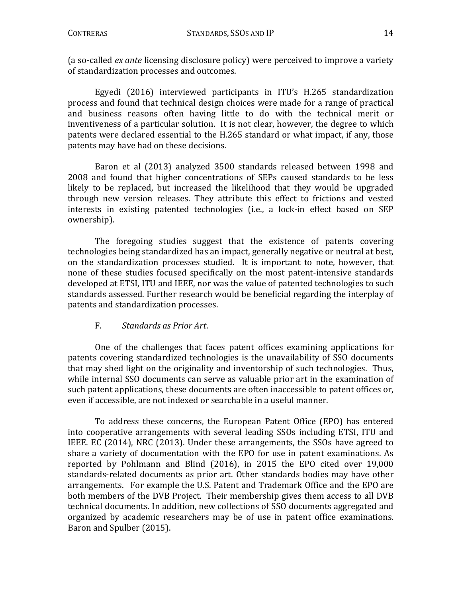(a so-called *ex ante* licensing disclosure policy) were perceived to improve a variety of standardization processes and outcomes.

Egyedi (2016) interviewed participants in ITU's H.265 standardization process and found that technical design choices were made for a range of practical and business reasons often having little to do with the technical merit or inventiveness of a particular solution. It is not clear, however, the degree to which patents were declared essential to the H.265 standard or what impact, if any, those patents may have had on these decisions.

Baron et al (2013) analyzed 3500 standards released between 1998 and 2008 and found that higher concentrations of SEPs caused standards to be less likely to be replaced, but increased the likelihood that they would be upgraded through new version releases. They attribute this effect to frictions and vested interests in existing patented technologies (i.e., a lock-in effect based on SEP ownership).

The foregoing studies suggest that the existence of patents covering technologies being standardized has an impact, generally negative or neutral at best, on the standardization processes studied. It is important to note, however, that none of these studies focused specifically on the most patent-intensive standards developed at ETSI, ITU and IEEE, nor was the value of patented technologies to such standards assessed. Further research would be beneficial regarding the interplay of patents and standardization processes.

## F. *Standards as Prior Art.*

One of the challenges that faces patent offices examining applications for patents covering standardized technologies is the unavailability of SSO documents that may shed light on the originality and inventorship of such technologies. Thus, while internal SSO documents can serve as valuable prior art in the examination of such patent applications, these documents are often inaccessible to patent offices or, even if accessible, are not indexed or searchable in a useful manner.

To address these concerns, the European Patent Office (EPO) has entered into cooperative arrangements with several leading SSOs including ETSI, ITU and IEEE. EC (2014), NRC (2013). Under these arrangements, the SSOs have agreed to share a variety of documentation with the EPO for use in patent examinations. As reported by Pohlmann and Blind  $(2016)$ , in 2015 the EPO cited over  $19,000$ standards-related documents as prior art. Other standards bodies may have other arrangements. For example the U.S. Patent and Trademark Office and the EPO are both members of the DVB Project. Their membership gives them access to all DVB technical documents. In addition, new collections of SSO documents aggregated and organized by academic researchers may be of use in patent office examinations. Baron and Spulber (2015).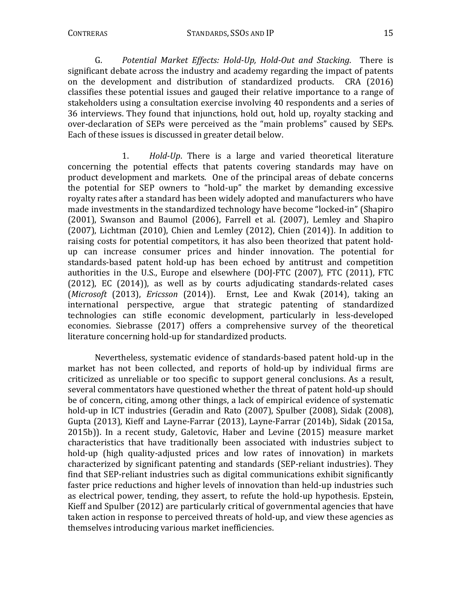G. Potential Market Effects: Hold-Up, Hold-Out and Stacking. There is significant debate across the industry and academy regarding the impact of patents on the development and distribution of standardized products. CRA (2016) classifies these potential issues and gauged their relative importance to a range of stakeholders using a consultation exercise involving 40 respondents and a series of 36 interviews. They found that injunctions, hold out, hold up, royalty stacking and over-declaration of SEPs were perceived as the "main problems" caused by SEPs. Each of these issues is discussed in greater detail below.

1. *Hold-Up*. There is a large and varied theoretical literature concerning the potential effects that patents covering standards may have on product development and markets. One of the principal areas of debate concerns the potential for SEP owners to "hold-up" the market by demanding excessive royalty rates after a standard has been widely adopted and manufacturers who have made investments in the standardized technology have become "locked-in" (Shapiro (2001), Swanson and Baumol (2006), Farrell et al. (2007), Lemley and Shapiro  $(2007)$ , Lichtman  $(2010)$ , Chien and Lemley  $(2012)$ , Chien  $(2014)$ ). In addition to raising costs for potential competitors, it has also been theorized that patent holdup can increase consumer prices and hinder innovation. The potential for standards-based patent hold-up has been echoed by antitrust and competition authorities in the U.S., Europe and elsewhere (DOJ-FTC (2007), FTC (2011), FTC  $(2012)$ , EC  $(2014)$ ), as well as by courts adjudicating standards-related cases (*Microsoft* (2013), *Ericsson* (2014)). Ernst, Lee and Kwak (2014), taking an international perspective, argue that strategic patenting of standardized technologies can stifle economic development, particularly in less-developed economies. Siebrasse (2017) offers a comprehensive survey of the theoretical literature concerning hold-up for standardized products.

Nevertheless, systematic evidence of standards-based patent hold-up in the market has not been collected, and reports of hold-up by individual firms are criticized as unreliable or too specific to support general conclusions. As a result, several commentators have questioned whether the threat of patent hold-up should be of concern, citing, among other things, a lack of empirical evidence of systematic hold-up in ICT industries (Geradin and Rato (2007), Spulber (2008), Sidak (2008), Gupta (2013), Kieff and Layne-Farrar (2013), Layne-Farrar (2014b), Sidak (2015a, 2015b)). In a recent study, Galetovic, Haber and Levine (2015) measure market characteristics that have traditionally been associated with industries subject to hold-up (high quality-adjusted prices and low rates of innovation) in markets characterized by significant patenting and standards (SEP-reliant industries). They find that SEP-reliant industries such as digital communications exhibit significantly faster price reductions and higher levels of innovation than held-up industries such as electrical power, tending, they assert, to refute the hold-up hypothesis. Epstein, Kieff and Spulber (2012) are particularly critical of governmental agencies that have taken action in response to perceived threats of hold-up, and view these agencies as themselves introducing various market inefficiencies.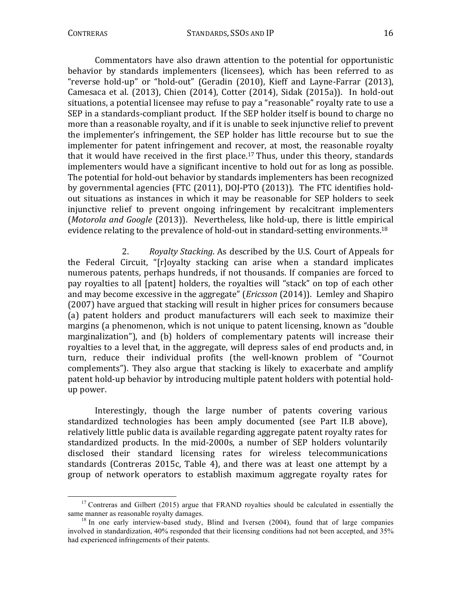Commentators have also drawn attention to the potential for opportunistic behavior by standards implementers (licensees), which has been referred to as "reverse hold-up" or "hold-out" (Geradin (2010), Kieff and Layne-Farrar (2013), Camesaca et al. (2013), Chien (2014), Cotter (2014), Sidak (2015a)). In hold-out situations, a potential licensee may refuse to pay a "reasonable" royalty rate to use a SEP in a standards-compliant product. If the SEP holder itself is bound to charge no more than a reasonable royalty, and if it is unable to seek injunctive relief to prevent the implementer's infringement, the SEP holder has little recourse but to sue the implementer for patent infringement and recover, at most, the reasonable royalty that it would have received in the first place.<sup>17</sup> Thus, under this theory, standards implementers would have a significant incentive to hold out for as long as possible. The potential for hold-out behavior by standards implementers has been recognized by governmental agencies (FTC  $(2011)$ , DOJ-PTO  $(2013)$ ). The FTC identifies holdout situations as instances in which it may be reasonable for SEP holders to seek injunctive relief to prevent ongoing infringement by recalcitrant implementers (*Motorola and Google* (2013)). Nevertheless, like hold-up, there is little empirical evidence relating to the prevalence of hold-out in standard-setting environments.<sup>18</sup>

2. *Royalty Stacking*. As described by the U.S. Court of Appeals for the Federal Circuit, "[r]oyalty stacking can arise when a standard implicates numerous patents, perhaps hundreds, if not thousands. If companies are forced to pay royalties to all [patent] holders, the royalties will "stack" on top of each other and may become excessive in the aggregate" (*Ericsson* (2014)). Lemley and Shapiro (2007) have argued that stacking will result in higher prices for consumers because (a) patent holders and product manufacturers will each seek to maximize their margins (a phenomenon, which is not unique to patent licensing, known as "double marginalization"), and (b) holders of complementary patents will increase their royalties to a level that, in the aggregate, will depress sales of end products and, in turn, reduce their individual profits (the well-known problem of "Cournot complements"). They also argue that stacking is likely to exacerbate and amplify patent hold-up behavior by introducing multiple patent holders with potential holdup power.

Interestingly, though the large number of patents covering various standardized technologies has been amply documented (see Part II.B above), relatively little public data is available regarding aggregate patent royalty rates for standardized products. In the mid-2000s, a number of SEP holders voluntarily disclosed their standard licensing rates for wireless telecommunications standards (Contreras 2015c, Table 4), and there was at least one attempt by a group of network operators to establish maximum aggregate royalty rates for

 $17$  Contreras and Gilbert (2015) argue that FRAND royalties should be calculated in essentially the same manner as reasonable royalty damages.

 $18$  In one early interview-based study, Blind and Iversen (2004), found that of large companies involved in standardization, 40% responded that their licensing conditions had not been accepted, and 35% had experienced infringements of their patents.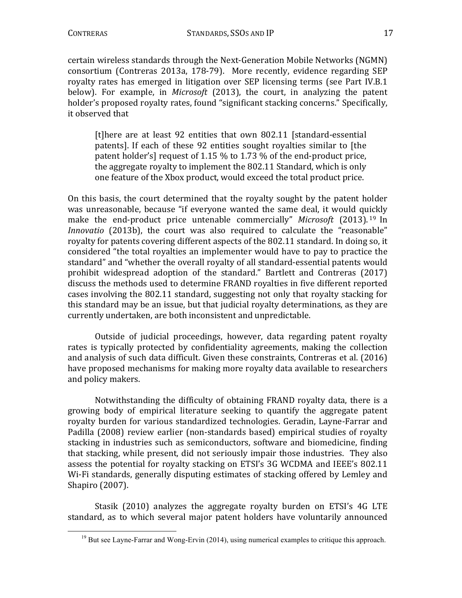certain wireless standards through the Next-Generation Mobile Networks (NGMN) consortium (Contreras 2013a, 178-79). More recently, evidence regarding SEP royalty rates has emerged in litigation over SEP licensing terms (see Part IV.B.1 below). For example, in *Microsoft* (2013), the court, in analyzing the patent holder's proposed royalty rates, found "significant stacking concerns." Specifically, it observed that

[t]here are at least 92 entities that own 802.11 [standard-essential] patents]. If each of these 92 entities sought royalties similar to [the patent holder's] request of 1.15  $\%$  to 1.73  $\%$  of the end-product price, the aggregate royalty to implement the  $802.11$  Standard, which is only one feature of the Xbox product, would exceed the total product price.

On this basis, the court determined that the royalty sought by the patent holder was unreasonable, because "if everyone wanted the same deal, it would quickly make the end-product price untenable commercially" *Microsoft* (2013).<sup>19</sup> In *Innovatio* (2013b), the court was also required to calculate the "reasonable" royalty for patents covering different aspects of the 802.11 standard. In doing so, it considered "the total royalties an implementer would have to pay to practice the standard" and "whether the overall royalty of all standard-essential patents would prohibit widespread adoption of the standard." Bartlett and Contreras (2017) discuss the methods used to determine FRAND royalties in five different reported cases involving the 802.11 standard, suggesting not only that royalty stacking for this standard may be an issue, but that judicial royalty determinations, as they are currently undertaken, are both inconsistent and unpredictable.

Outside of judicial proceedings, however, data regarding patent royalty rates is typically protected by confidentiality agreements, making the collection and analysis of such data difficult. Given these constraints, Contreras et al.  $(2016)$ have proposed mechanisms for making more royalty data available to researchers and policy makers.

Notwithstanding the difficulty of obtaining FRAND royalty data, there is a growing body of empirical literature seeking to quantify the aggregate patent royalty burden for various standardized technologies. Geradin, Layne-Farrar and Padilla (2008) review earlier (non-standards based) empirical studies of royalty stacking in industries such as semiconductors, software and biomedicine, finding that stacking, while present, did not seriously impair those industries. They also assess the potential for royalty stacking on ETSI's 3G WCDMA and IEEE's 802.11 Wi-Fi standards, generally disputing estimates of stacking offered by Lemley and Shapiro (2007).

Stasik (2010) analyzes the aggregate royalty burden on ETSI's 4G LTE standard, as to which several major patent holders have voluntarily announced

 $19$  But see Layne-Farrar and Wong-Ervin (2014), using numerical examples to critique this approach.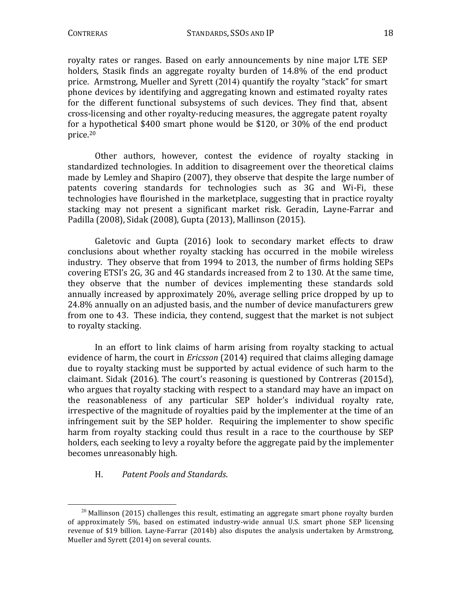royalty rates or ranges. Based on early announcements by nine major LTE SEP holders, Stasik finds an aggregate royalty burden of 14.8% of the end product price. Armstrong, Mueller and Syrett  $(2014)$  quantify the royalty "stack" for smart phone devices by identifying and aggregating known and estimated royalty rates for the different functional subsystems of such devices. They find that, absent cross-licensing and other royalty-reducing measures, the aggregate patent royalty for a hypothetical  $$400$  smart phone would be  $$120$ , or  $30\%$  of the end product price.20

Other authors, however, contest the evidence of royalty stacking in standardized technologies. In addition to disagreement over the theoretical claims made by Lemley and Shapiro (2007), they observe that despite the large number of patents covering standards for technologies such as 3G and Wi-Fi, these technologies have flourished in the marketplace, suggesting that in practice royalty stacking may not present a significant market risk. Geradin, Layne-Farrar and Padilla (2008), Sidak (2008), Gupta (2013), Mallinson (2015).

Galetovic and Gupta (2016) look to secondary market effects to draw conclusions about whether royalty stacking has occurred in the mobile wireless industry. They observe that from 1994 to 2013, the number of firms holding SEPs covering ETSI's 2G, 3G and 4G standards increased from 2 to 130. At the same time, they observe that the number of devices implementing these standards sold annually increased by approximately 20%, average selling price dropped by up to 24.8% annually on an adjusted basis, and the number of device manufacturers grew from one to 43. These indicia, they contend, suggest that the market is not subject to royalty stacking.

In an effort to link claims of harm arising from royalty stacking to actual evidence of harm, the court in *Ericsson* (2014) required that claims alleging damage due to royalty stacking must be supported by actual evidence of such harm to the claimant. Sidak  $(2016)$ . The court's reasoning is questioned by Contreras  $(2015d)$ , who argues that royalty stacking with respect to a standard may have an impact on the reasonableness of any particular SEP holder's individual royalty rate, irrespective of the magnitude of royalties paid by the implementer at the time of an infringement suit by the SEP holder. Requiring the implementer to show specific harm from royalty stacking could thus result in a race to the courthouse by SEP holders, each seeking to levy a royalty before the aggregate paid by the implementer becomes unreasonably high.

# H. *Patent Pools and Standards.*

 

<sup>&</sup>lt;sup>20</sup> Mallinson (2015) challenges this result, estimating an aggregate smart phone royalty burden of approximately 5%, based on estimated industry-wide annual U.S. smart phone SEP licensing revenue of \$19 billion. Layne-Farrar (2014b) also disputes the analysis undertaken by Armstrong, Mueller and Syrett (2014) on several counts.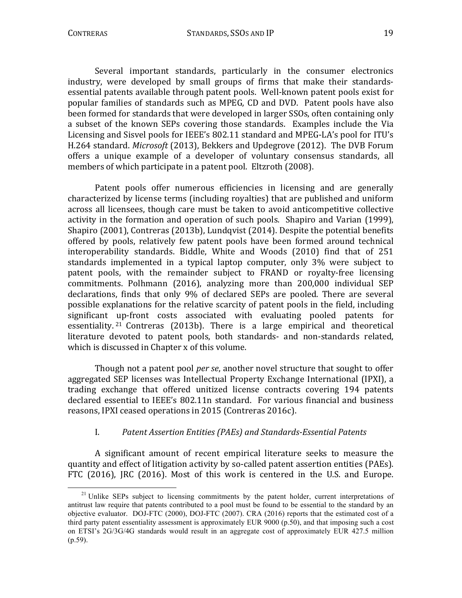Several important standards, particularly in the consumer electronics industry, were developed by small groups of firms that make their standardsessential patents available through patent pools. Well-known patent pools exist for popular families of standards such as MPEG, CD and DVD. Patent pools have also been formed for standards that were developed in larger SSOs, often containing only a subset of the known SEPs covering those standards. Examples include the Via Licensing and Sisvel pools for IEEE's 802.11 standard and MPEG-LA's pool for ITU's H.264 standard. *Microsoft* (2013), Bekkers and Updegrove (2012). The DVB Forum offers a unique example of a developer of voluntary consensus standards, all members of which participate in a patent pool. Eltzroth (2008).

Patent pools offer numerous efficiencies in licensing and are generally characterized by license terms (including royalties) that are published and uniform across all licensees, though care must be taken to avoid anticompetitive collective activity in the formation and operation of such pools. Shapiro and Varian (1999), Shapiro  $(2001)$ , Contreras  $(2013b)$ , Lundqvist  $(2014)$ . Despite the potential benefits offered by pools, relatively few patent pools have been formed around technical interoperability standards. Biddle, White and Woods (2010) find that of 251 standards implemented in a typical laptop computer, only 3% were subject to patent pools, with the remainder subject to FRAND or royalty-free licensing commitments. Polhmann (2016), analyzing more than 200,000 individual SEP declarations, finds that only 9% of declared SEPs are pooled. There are several possible explanations for the relative scarcity of patent pools in the field, including significant up-front costs associated with evaluating pooled patents for essentiality.  $21$  Contreras (2013b). There is a large empirical and theoretical literature devoted to patent pools, both standards- and non-standards related, which is discussed in Chapter x of this volume.

Though not a patent pool *per se*, another novel structure that sought to offer aggregated SEP licenses was Intellectual Property Exchange International (IPXI), a trading exchange that offered unitized license contracts covering 194 patents declared essential to IEEE's 802.11n standard. For various financial and business reasons, IPXI ceased operations in 2015 (Contreras 2016c).

#### I. Patent Assertion Entities (PAEs) and Standards-Essential Patents

A significant amount of recent empirical literature seeks to measure the quantity and effect of litigation activity by so-called patent assertion entities (PAEs). FTC (2016), JRC (2016). Most of this work is centered in the U.S. and Europe.

 $21$  Unlike SEPs subject to licensing commitments by the patent holder, current interpretations of antitrust law require that patents contributed to a pool must be found to be essential to the standard by an objective evaluator. DOJ-FTC (2000), DOJ-FTC (2007). CRA (2016) reports that the estimated cost of a third party patent essentiality assessment is approximately EUR 9000 (p.50), and that imposing such a cost on ETSI's 2G/3G/4G standards would result in an aggregate cost of approximately EUR 427.5 million  $(p.59)$ .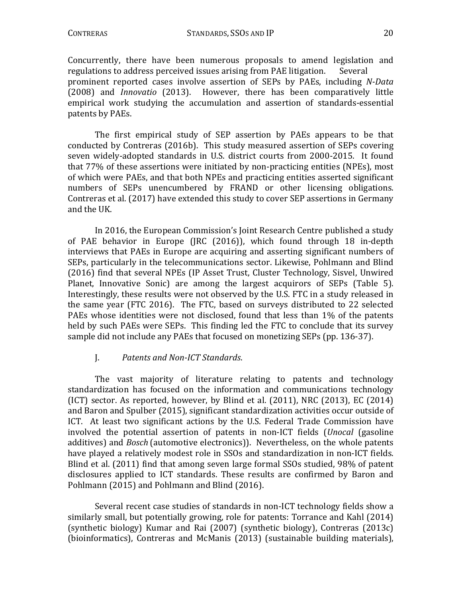Concurrently, there have been numerous proposals to amend legislation and regulations to address perceived issues arising from PAE litigation. Several prominent reported cases involve assertion of SEPs by PAEs, including *N-Data* (2008) and *Innovatio* (2013). However, there has been comparatively little empirical work studying the accumulation and assertion of standards-essential patents by PAEs.

The first empirical study of SEP assertion by PAEs appears to be that conducted by Contreras (2016b). This study measured assertion of SEPs covering seven widely-adopted standards in U.S. district courts from 2000-2015. It found that  $77\%$  of these assertions were initiated by non-practicing entities (NPEs), most of which were PAEs, and that both NPEs and practicing entities asserted significant numbers of SEPs unencumbered by FRAND or other licensing obligations. Contreras et al. (2017) have extended this study to cover SEP assertions in Germany and the UK.

In 2016, the European Commission's Joint Research Centre published a study of PAE behavior in Europe (JRC (2016)), which found through 18 in-depth interviews that PAEs in Europe are acquiring and asserting significant numbers of SEPs, particularly in the telecommunications sector. Likewise, Pohlmann and Blind (2016) find that several NPEs (IP Asset Trust, Cluster Technology, Sisvel, Unwired Planet, Innovative Sonic) are among the largest acquirors of SEPs (Table 5). Interestingly, these results were not observed by the U.S. FTC in a study released in the same year (FTC 2016). The FTC, based on surveys distributed to 22 selected PAEs whose identities were not disclosed, found that less than  $1\%$  of the patents held by such PAEs were SEPs. This finding led the FTC to conclude that its survey sample did not include any PAEs that focused on monetizing SEPs (pp. 136-37).

## J. *Patents and Non-ICT Standards*.

The vast majority of literature relating to patents and technology standardization has focused on the information and communications technology  $[ICT]$  sector. As reported, however, by Blind et al.  $[2011]$ , NRC  $[2013]$ , EC  $[2014]$ and Baron and Spulber (2015), significant standardization activities occur outside of ICT. At least two significant actions by the U.S. Federal Trade Commission have involved the potential assertion of patents in non-ICT fields (*Unocal* (gasoline additives) and *Bosch* (automotive electronics)). Nevertheless, on the whole patents have played a relatively modest role in SSOs and standardization in non-ICT fields. Blind et al.  $(2011)$  find that among seven large formal SSOs studied, 98% of patent disclosures applied to ICT standards. These results are confirmed by Baron and Pohlmann (2015) and Pohlmann and Blind (2016).

Several recent case studies of standards in non-ICT technology fields show a similarly small, but potentially growing, role for patents: Torrance and Kahl (2014) (synthetic biology) Kumar and Rai  $(2007)$  (synthetic biology), Contreras  $(2013c)$ (bioinformatics), Contreras and McManis (2013) (sustainable building materials),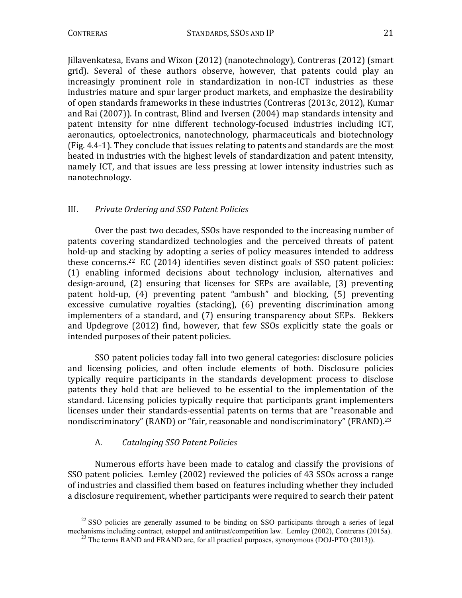Jillavenkatesa, Evans and Wixon (2012) (nanotechnology), Contreras (2012) (smart grid). Several of these authors observe, however, that patents could play an increasingly prominent role in standardization in non-ICT industries as these industries mature and spur larger product markets, and emphasize the desirability of open standards frameworks in these industries (Contreras (2013c, 2012), Kumar and Rai  $(2007)$ ). In contrast, Blind and Iversen  $(2004)$  map standards intensity and patent intensity for nine different technology-focused industries including ICT, aeronautics, optoelectronics, nanotechnology, pharmaceuticals and biotechnology (Fig. 4.4-1). They conclude that issues relating to patents and standards are the most heated in industries with the highest levels of standardization and patent intensity, namely ICT, and that issues are less pressing at lower intensity industries such as nanotechnology.

## III. Private Ordering and SSO Patent Policies

Over the past two decades, SSOs have responded to the increasing number of patents covering standardized technologies and the perceived threats of patent hold-up and stacking by adopting a series of policy measures intended to address these concerns.<sup>22</sup> EC (2014) identifies seven distinct goals of SSO patent policies: (1) enabling informed decisions about technology inclusion, alternatives and design-around, (2) ensuring that licenses for SEPs are available, (3) preventing patent hold-up, (4) preventing patent "ambush" and blocking, (5) preventing excessive cumulative royalties (stacking), (6) preventing discrimination among implementers of a standard, and (7) ensuring transparency about SEPs. Bekkers and Updegrove (2012) find, however, that few SSOs explicitly state the goals or intended purposes of their patent policies.

SSO patent policies today fall into two general categories: disclosure policies and licensing policies, and often include elements of both. Disclosure policies typically require participants in the standards development process to disclose patents they hold that are believed to be essential to the implementation of the standard. Licensing policies typically require that participants grant implementers licenses under their standards-essential patents on terms that are "reasonable and nondiscriminatory" (RAND) or "fair, reasonable and nondiscriminatory" (FRAND).<sup>23</sup>

# A. *Cataloging SSO Patent Policies*

Numerous efforts have been made to catalog and classify the provisions of SSO patent policies. Lemley (2002) reviewed the policies of 43 SSOs across a range of industries and classified them based on features including whether they included a disclosure requirement, whether participants were required to search their patent

<sup>&</sup>lt;sup>22</sup> SSO policies are generally assumed to be binding on SSO participants through a series of legal mechanisms including contract, estoppel and antitrust/competition law. Lemley (2002), Contreras (2015a).<br><sup>23</sup> The terms RAND and FRAND are, for all practical purposes, synonymous (DOJ-PTO (2013)).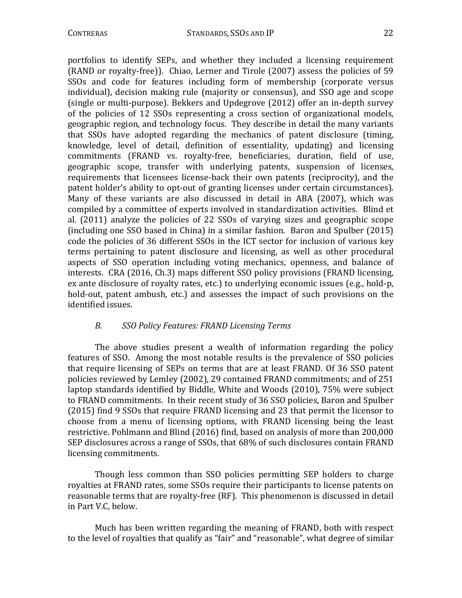portfolios to identify SEPs, and whether they included a licensing requirement (RAND or royalty-free)). Chiao, Lerner and Tirole (2007) assess the policies of 59 SSOs and code for features including form of membership (corporate versus individual), decision making rule (majority or consensus), and SSO age and scope (single or multi-purpose). Bekkers and Updegrove (2012) offer an in-depth survey of the policies of 12 SSOs representing a cross section of organizational models, geographic region, and technology focus. They describe in detail the many variants that SSOs have adopted regarding the mechanics of patent disclosure (timing, knowledge, level of detail, definition of essentiality, updating) and licensing commitments (FRAND vs. royalty-free, beneficiaries, duration, field of use, geographic scope, transfer with underlying patents, suspension of licenses, requirements that licensees license-back their own patents (reciprocity), and the patent holder's ability to opt-out of granting licenses under certain circumstances). Many of these variants are also discussed in detail in ABA (2007), which was compiled by a committee of experts involved in standardization activities. Blind et al. (2011) analyze the policies of 22 SSOs of varying sizes and geographic scope (including one SSO based in China) in a similar fashion. Baron and Spulber  $(2015)$ code the policies of 36 different SSOs in the ICT sector for inclusion of various key terms pertaining to patent disclosure and licensing, as well as other procedural aspects of SSO operation including voting mechanics, openness, and balance of interests. CRA (2016, Ch.3) maps different SSO policy provisions (FRAND licensing, ex ante disclosure of royalty rates, etc.) to underlying economic issues (e.g., hold-p, hold-out, patent ambush, etc.) and assesses the impact of such provisions on the identified issues.

# *B. SSO Policy Features: FRAND Licensing Terms*

The above studies present a wealth of information regarding the policy features of SSO. Among the most notable results is the prevalence of SSO policies that require licensing of SEPs on terms that are at least FRAND. Of 36 SSO patent policies reviewed by Lemley (2002), 29 contained FRAND commitments; and of 251 laptop standards identified by Biddle, White and Woods (2010), 75% were subject to FRAND commitments. In their recent study of 36 SSO policies, Baron and Spulber (2015) find 9 SSOs that require FRAND licensing and 23 that permit the licensor to choose from a menu of licensing options, with FRAND licensing being the least restrictive. Pohlmann and Blind (2016) find, based on analysis of more than 200,000 SEP disclosures across a range of SSOs, that 68% of such disclosures contain FRAND licensing commitments.

Though less common than SSO policies permitting SEP holders to charge royalties at FRAND rates, some SSOs require their participants to license patents on reasonable terms that are royalty-free (RF). This phenomenon is discussed in detail in Part V.C, below.

Much has been written regarding the meaning of FRAND, both with respect to the level of royalties that qualify as "fair" and "reasonable", what degree of similar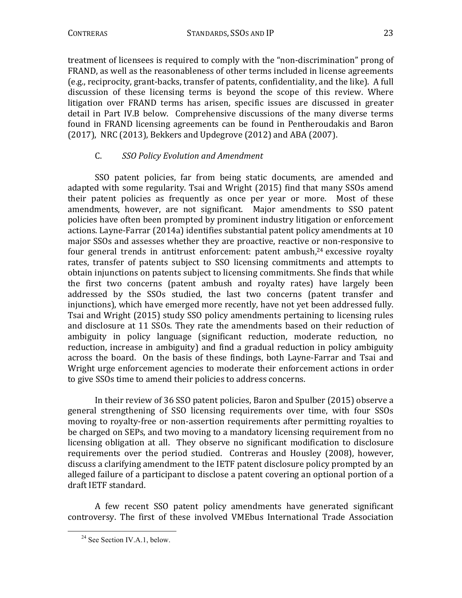treatment of licensees is required to comply with the "non-discrimination" prong of FRAND, as well as the reasonableness of other terms included in license agreements (e.g., reciprocity, grant-backs, transfer of patents, confidentiality, and the like). A full discussion of these licensing terms is beyond the scope of this review. Where litigation over FRAND terms has arisen, specific issues are discussed in greater detail in Part IV.B below. Comprehensive discussions of the many diverse terms found in FRAND licensing agreements can be found in Pentheroudakis and Baron  $(2017)$ , NRC  $(2013)$ , Bekkers and Updegrove  $(2012)$  and ABA  $(2007)$ .

# C. *SSO Policy Evolution and Amendment*

SSO patent policies, far from being static documents, are amended and adapted with some regularity. Tsai and Wright (2015) find that many SSOs amend their patent policies as frequently as once per year or more. Most of these amendments, however, are not significant. Major amendments to SSO patent policies have often been prompted by prominent industry litigation or enforcement actions. Layne-Farrar (2014a) identifies substantial patent policy amendments at 10 major SSOs and assesses whether they are proactive, reactive or non-responsive to four general trends in antitrust enforcement: patent ambush, $24$  excessive royalty rates, transfer of patents subject to SSO licensing commitments and attempts to obtain injunctions on patents subject to licensing commitments. She finds that while the first two concerns (patent ambush and royalty rates) have largely been addressed by the SSOs studied, the last two concerns (patent transfer and injunctions), which have emerged more recently, have not yet been addressed fully. Tsai and Wright (2015) study SSO policy amendments pertaining to licensing rules and disclosure at 11 SSOs. They rate the amendments based on their reduction of ambiguity in policy language (significant reduction, moderate reduction, no reduction, increase in ambiguity) and find a gradual reduction in policy ambiguity across the board. On the basis of these findings, both Layne-Farrar and Tsai and Wright urge enforcement agencies to moderate their enforcement actions in order to give SSOs time to amend their policies to address concerns.

In their review of 36 SSO patent policies, Baron and Spulber (2015) observe a general strengthening of SSO licensing requirements over time, with four SSOs moving to royalty-free or non-assertion requirements after permitting royalties to be charged on SEPs, and two moving to a mandatory licensing requirement from no licensing obligation at all. They observe no significant modification to disclosure requirements over the period studied. Contreras and Housley (2008), however, discuss a clarifying amendment to the IETF patent disclosure policy prompted by an alleged failure of a participant to disclose a patent covering an optional portion of a draft IETF standard.

A few recent SSO patent policy amendments have generated significant controversy. The first of these involved VMEbus International Trade Association

<sup>&</sup>lt;sup>24</sup> See Section IV.A.1, below.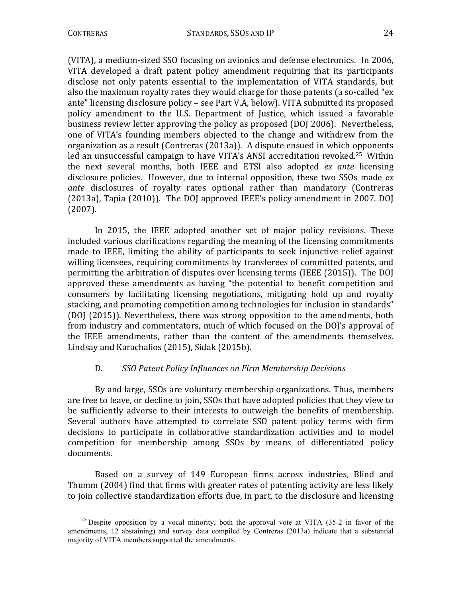(VITA), a medium-sized SSO focusing on avionics and defense electronics. In 2006, VITA developed a draft patent policy amendment requiring that its participants disclose not only patents essential to the implementation of VITA standards, but also the maximum royalty rates they would charge for those patents (a so-called "ex ante" licensing disclosure policy – see Part V.A, below). VITA submitted its proposed policy amendment to the U.S. Department of Justice, which issued a favorable business review letter approving the policy as proposed (DOJ 2006). Nevertheless, one of VITA's founding members objected to the change and withdrew from the organization as a result (Contreras (2013a)). A dispute ensued in which opponents led an unsuccessful campaign to have VITA's ANSI accreditation revoked.<sup>25</sup> Within the next several months, both IEEE and ETSI also adopted *ex ante* licensing disclosure policies. However, due to internal opposition, these two SSOs made *ex ante* disclosures of royalty rates optional rather than mandatory (Contreras  $(2013a)$ , Tapia  $(2010)$ ). The DOJ approved IEEE's policy amendment in 2007. DOJ (2007).

In 2015, the IEEE adopted another set of major policy revisions. These included various clarifications regarding the meaning of the licensing commitments made to IEEE, limiting the ability of participants to seek injunctive relief against willing licensees, requiring commitments by transferees of committed patents, and permitting the arbitration of disputes over licensing terms (IEEE (2015)). The DOJ approved these amendments as having "the potential to benefit competition and consumers by facilitating licensing negotiations, mitigating hold up and royalty stacking, and promoting competition among technologies for inclusion in standards"  $[DOI (2015)]$ . Nevertheless, there was strong opposition to the amendments, both from industry and commentators, much of which focused on the DOJ's approval of the IEEE amendments, rather than the content of the amendments themselves. Lindsay and Karachalios (2015), Sidak (2015b).

## D. *SSO Patent Policy Influences on Firm Membership Decisions*

By and large, SSOs are voluntary membership organizations. Thus, members are free to leave, or decline to join, SSOs that have adopted policies that they view to be sufficiently adverse to their interests to outweigh the benefits of membership. Several authors have attempted to correlate SSO patent policy terms with firm decisions to participate in collaborative standardization activities and to model competition for membership among SSOs by means of differentiated policy documents.

Based on a survey of 149 European firms across industries, Blind and Thumm (2004) find that firms with greater rates of patenting activity are less likely to join collective standardization efforts due, in part, to the disclosure and licensing

<sup>&</sup>lt;sup>25</sup> Despite opposition by a vocal minority, both the approval vote at VITA (35-2 in favor of the amendments, 12 abstaining) and survey data compiled by Contreras (2013a) indicate that a substantial majority of VITA members supported the amendments.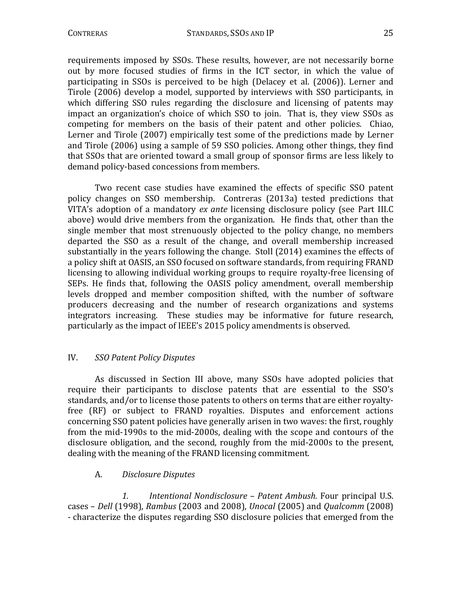requirements imposed by SSOs. These results, however, are not necessarily borne out by more focused studies of firms in the ICT sector, in which the value of participating in SSOs is perceived to be high (Delacey et al. (2006)). Lerner and Tirole (2006) develop a model, supported by interviews with SSO participants, in which differing SSO rules regarding the disclosure and licensing of patents may impact an organization's choice of which SSO to join. That is, they view SSOs as competing for members on the basis of their patent and other policies. Chiao, Lerner and Tirole (2007) empirically test some of the predictions made by Lerner and Tirole (2006) using a sample of 59 SSO policies. Among other things, they find that SSOs that are oriented toward a small group of sponsor firms are less likely to demand policy-based concessions from members.

Two recent case studies have examined the effects of specific SSO patent policy changes on SSO membership. Contreras (2013a) tested predictions that VITA's adoption of a mandatory *ex ante* licensing disclosure policy (see Part III.C) above) would drive members from the organization. He finds that, other than the single member that most strenuously objected to the policy change, no members departed the SSO as a result of the change, and overall membership increased substantially in the years following the change. Stoll (2014) examines the effects of a policy shift at OASIS, an SSO focused on software standards, from requiring FRAND licensing to allowing individual working groups to require royalty-free licensing of SEPs. He finds that, following the OASIS policy amendment, overall membership levels dropped and member composition shifted, with the number of software producers decreasing and the number of research organizations and systems integrators increasing. These studies may be informative for future research, particularly as the impact of IEEE's 2015 policy amendments is observed.

# IV. *SSO Patent Policy Disputes*

As discussed in Section III above, many SSOs have adopted policies that require their participants to disclose patents that are essential to the SSO's standards, and/or to license those patents to others on terms that are either royaltyfree (RF) or subject to FRAND royalties. Disputes and enforcement actions concerning SSO patent policies have generally arisen in two waves: the first, roughly from the mid-1990s to the mid-2000s, dealing with the scope and contours of the disclosure obligation, and the second, roughly from the mid-2000s to the present, dealing with the meaning of the FRAND licensing commitment.

# A. *Disclosure Disputes*

1. *Intentional Nondisclosure – Patent Ambush.* Four principal U.S. cases – *Dell* (1998), *Rambus* (2003 and 2008), *Unocal* (2005) and *Qualcomm* (2008) - characterize the disputes regarding SSO disclosure policies that emerged from the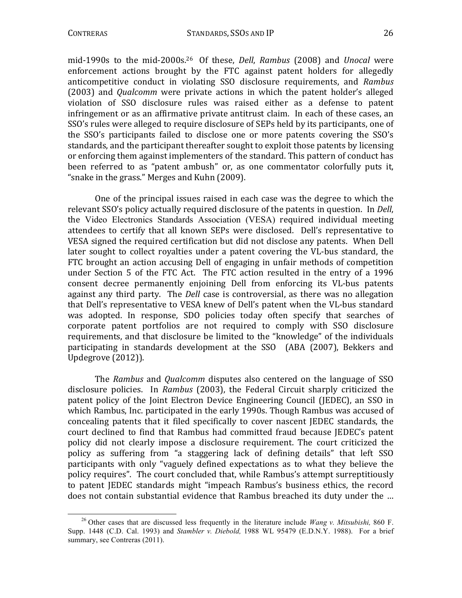mid-1990s to the mid-2000s.<sup>26</sup> Of these, *Dell*, *Rambus* (2008) and *Unocal* were enforcement actions brought by the FTC against patent holders for allegedly anticompetitive conduct in violating SSO disclosure requirements, and *Rambus* (2003) and *Qualcomm* were private actions in which the patent holder's alleged violation of SSO disclosure rules was raised either as a defense to patent infringement or as an affirmative private antitrust claim. In each of these cases, an SSO's rules were alleged to require disclosure of SEPs held by its participants, one of the SSO's participants failed to disclose one or more patents covering the SSO's standards, and the participant thereafter sought to exploit those patents by licensing or enforcing them against implementers of the standard. This pattern of conduct has been referred to as "patent ambush" or, as one commentator colorfully puts it, " snake in the grass." Merges and Kuhn  $(2009)$ .

One of the principal issues raised in each case was the degree to which the relevant SSO's policy actually required disclosure of the patents in question. In *Dell*, the Video Electronics Standards Association (VESA) required individual meeting attendees to certify that all known SEPs were disclosed. Dell's representative to VESA signed the required certification but did not disclose any patents. When Dell later sought to collect royalties under a patent covering the VL-bus standard, the FTC brought an action accusing Dell of engaging in unfair methods of competition under Section 5 of the FTC Act. The FTC action resulted in the entry of a 1996 consent decree permanently enjoining Dell from enforcing its VL-bus patents against any third party. The *Dell* case is controversial, as there was no allegation that Dell's representative to VESA knew of Dell's patent when the VL-bus standard was adopted. In response, SDO policies today often specify that searches of corporate patent portfolios are not required to comply with SSO disclosure requirements, and that disclosure be limited to the "knowledge" of the individuals participating in standards development at the SSO (ABA (2007), Bekkers and Updegrove (2012)).

The *Rambus* and *Qualcomm* disputes also centered on the language of SSO disclosure policies. In *Rambus* (2003), the Federal Circuit sharply criticized the patent policy of the Joint Electron Device Engineering Council (JEDEC), an SSO in which Rambus, Inc. participated in the early 1990s. Though Rambus was accused of concealing patents that it filed specifically to cover nascent JEDEC standards, the court declined to find that Rambus had committed fraud because JEDEC's patent policy did not clearly impose a disclosure requirement. The court criticized the policy as suffering from "a staggering lack of defining details" that left SSO participants with only "vaguely defined expectations as to what they believe the policy requires". The court concluded that, while Rambus's attempt surreptitiously to patent *JEDEC* standards might "impeach Rambus's business ethics, the record does not contain substantial evidence that Rambus breached its duty under the ...

 <sup>26</sup> Other cases that are discussed less frequently in the literature include *Wang v. Mitsubishi,* 860 F. Supp. 1448 (C.D. Cal. 1993) and *Stambler v. Diebold,* 1988 WL 95479 (E.D.N.Y. 1988). For a brief summary, see Contreras (2011).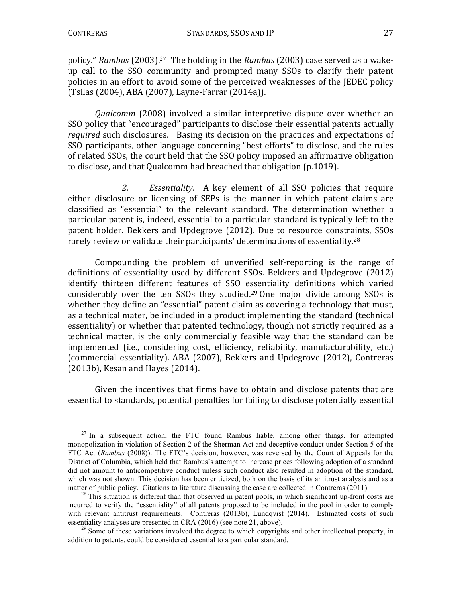policy." *Rambus* (2003).<sup>27</sup> The holding in the *Rambus* (2003) case served as a wakeup call to the SSO community and prompted many SSOs to clarify their patent policies in an effort to avoid some of the perceived weaknesses of the JEDEC policy (Tsilas (2004), ABA (2007), Layne-Farrar (2014a)).

*Qualcomm* (2008) involved a similar interpretive dispute over whether an SSO policy that "encouraged" participants to disclose their essential patents actually *required* such disclosures. Basing its decision on the practices and expectations of SSO participants, other language concerning "best efforts" to disclose, and the rules of related SSOs, the court held that the SSO policy imposed an affirmative obligation to disclose, and that Qualcomm had breached that obligation (p.1019).

2. *Essentiality*. A key element of all SSO policies that require either disclosure or licensing of SEPs is the manner in which patent claims are classified as "essential" to the relevant standard. The determination whether a particular patent is, indeed, essential to a particular standard is typically left to the patent holder. Bekkers and Updegrove (2012). Due to resource constraints, SSOs rarely review or validate their participants' determinations of essentiality.<sup>28</sup>

Compounding the problem of unverified self-reporting is the range of definitions of essentiality used by different SSOs. Bekkers and Updegrove (2012) identify thirteen different features of SSO essentiality definitions which varied considerably over the ten SSOs they studied.<sup>29</sup> One major divide among SSOs is whether they define an "essential" patent claim as covering a technology that must, as a technical mater, be included in a product implementing the standard (technical essentiality) or whether that patented technology, though not strictly required as a technical matter, is the only commercially feasible way that the standard can be implemented (i.e., considering cost, efficiency, reliability, manufacturability, etc.) (commercial essentiality). ABA (2007), Bekkers and Updegrove (2012), Contreras  $(2013b)$ , Kesan and Hayes  $(2014)$ .

Given the incentives that firms have to obtain and disclose patents that are essential to standards, potential penalties for failing to disclose potentially essential

<sup>&</sup>lt;sup>27</sup> In a subsequent action, the FTC found Rambus liable, among other things, for attempted monopolization in violation of Section 2 of the Sherman Act and deceptive conduct under Section 5 of the FTC Act (*Rambus* (2008)). The FTC's decision, however, was reversed by the Court of Appeals for the District of Columbia, which held that Rambus's attempt to increase prices following adoption of a standard did not amount to anticompetitive conduct unless such conduct also resulted in adoption of the standard, which was not shown. This decision has been criticized, both on the basis of its antitrust analysis and as a matter of public policy. Citations to literature discussing the case are collected in Contreras (2011).<br><sup>28</sup> This situation is different than that observed in patent pools, in which significant up-front costs are

incurred to verify the "essentiality" of all patents proposed to be included in the pool in order to comply with relevant antitrust requirements. Contreras (2013b), Lundqvist (2014). Estimated costs of such essentiality analyses are presented in CRA (2016) (see note 21, above).

<sup>&</sup>lt;sup>29</sup> Some of these variations involved the degree to which copyrights and other intellectual property, in addition to patents, could be considered essential to a particular standard.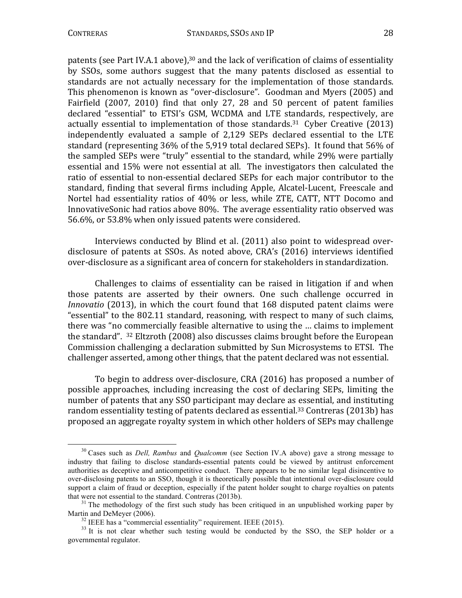patents (see Part IV.A.1 above),<sup>30</sup> and the lack of verification of claims of essentiality by SSOs, some authors suggest that the many patents disclosed as essential to standards are not actually necessary for the implementation of those standards. This phenomenon is known as "over-disclosure". Goodman and Myers (2005) and Fairfield (2007, 2010) find that only 27, 28 and 50 percent of patent families declared "essential" to ETSI's GSM, WCDMA and LTE standards, respectively, are actually essential to implementation of those standards.<sup>31</sup> Cyber Creative  $(2013)$ independently evaluated a sample of 2,129 SEPs declared essential to the LTE standard (representing 36% of the 5,919 total declared SEPs). It found that 56% of the sampled SEPs were "truly" essential to the standard, while 29% were partially essential and 15% were not essential at all. The investigators then calculated the ratio of essential to non-essential declared SEPs for each major contributor to the standard, finding that several firms including Apple, Alcatel-Lucent, Freescale and Nortel had essentiality ratios of 40% or less, while ZTE, CATT, NTT Docomo and InnovativeSonic had ratios above 80%. The average essentiality ratio observed was 56.6%, or 53.8% when only issued patents were considered.

Interviews conducted by Blind et al. (2011) also point to widespread overdisclosure of patents at SSOs. As noted above, CRA's (2016) interviews identified over-disclosure as a significant area of concern for stakeholders in standardization.

Challenges to claims of essentiality can be raised in litigation if and when those patents are asserted by their owners. One such challenge occurred in *Innovatio* (2013), in which the court found that 168 disputed patent claims were "essential" to the 802.11 standard, reasoning, with respect to many of such claims, there was "no commercially feasible alternative to using the ... claims to implement the standard".  $32$  Eltzroth (2008) also discusses claims brought before the European Commission challenging a declaration submitted by Sun Microsystems to ETSI. The challenger asserted, among other things, that the patent declared was not essential.

To begin to address over-disclosure, CRA (2016) has proposed a number of possible approaches, including increasing the cost of declaring SEPs, limiting the number of patents that any SSO participant may declare as essential, and instituting random essentiality testing of patents declared as essential.<sup>33</sup> Contreras (2013b) has proposed an aggregate royalty system in which other holders of SEPs may challenge

 <sup>30</sup> Cases such as *Dell, Rambus* and *Qualcomm* (see Section IV.A above) gave a strong message to industry that failing to disclose standards-essential patents could be viewed by antitrust enforcement authorities as deceptive and anticompetitive conduct. There appears to be no similar legal disincentive to over-disclosing patents to an SSO, though it is theoretically possible that intentional over-disclosure could support a claim of fraud or deception, especially if the patent holder sought to charge royalties on patents that were not essential to the standard. Contreras (2013b).<br><sup>31</sup> The methodology of the first such study has been critiqued in an unpublished working paper by

Martin and DeMeyer (2006).<br><sup>32</sup> IEEE has a "commercial essentiality" requirement. IEEE (2015).<br><sup>33</sup> It is not clear whether such testing would be conducted by the SSO, the SEP holder or a

governmental regulator.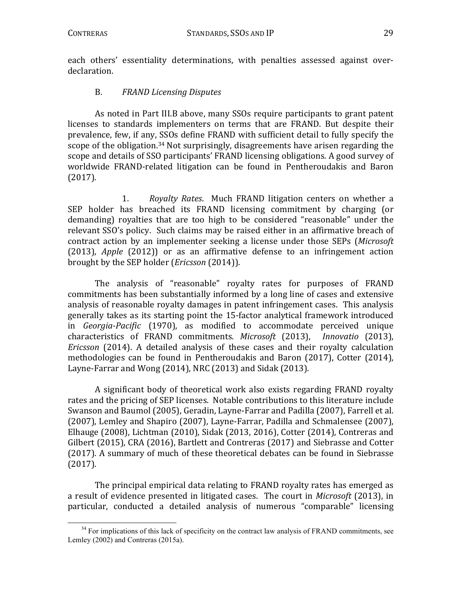each others' essentiality determinations, with penalties assessed against overdeclaration.

#### B. *FRAND Licensing Disputes*

As noted in Part III.B above, many SSOs require participants to grant patent licenses to standards implementers on terms that are FRAND. But despite their prevalence, few, if any, SSOs define FRAND with sufficient detail to fully specify the scope of the obligation.<sup>34</sup> Not surprisingly, disagreements have arisen regarding the scope and details of SSO participants' FRAND licensing obligations. A good survey of worldwide FRAND-related litigation can be found in Pentheroudakis and Baron (2017).

1. *Royalty Rates*. Much FRAND litigation centers on whether a SEP holder has breached its FRAND licensing commitment by charging (or demanding) royalties that are too high to be considered "reasonable" under the relevant SSO's policy. Such claims may be raised either in an affirmative breach of contract action by an implementer seeking a license under those SEPs (*Microsoft*) (2013), *Apple* (2012)) or as an affirmative defense to an infringement action brought by the SEP holder *(Ericsson* (2014)).

The analysis of "reasonable" royalty rates for purposes of FRAND commitments has been substantially informed by a long line of cases and extensive analysis of reasonable royalty damages in patent infringement cases. This analysis generally takes as its starting point the 15-factor analytical framework introduced in *Georgia-Pacific* (1970), as modified to accommodate perceived unique characteristics of FRAND commitments. *Microsoft* (2013), *Innovatio* (2013), *Ericsson* (2014). A detailed analysis of these cases and their royalty calculation methodologies can be found in Pentheroudakis and Baron (2017), Cotter (2014), Layne-Farrar and Wong  $(2014)$ , NRC  $(2013)$  and Sidak  $(2013)$ .

A significant body of theoretical work also exists regarding FRAND royalty rates and the pricing of SEP licenses. Notable contributions to this literature include Swanson and Baumol (2005), Geradin, Layne-Farrar and Padilla (2007), Farrell et al. (2007), Lemley and Shapiro (2007), Layne-Farrar, Padilla and Schmalensee (2007), Elhauge (2008), Lichtman (2010), Sidak (2013, 2016), Cotter (2014), Contreras and Gilbert (2015), CRA (2016), Bartlett and Contreras (2017) and Siebrasse and Cotter (2017). A summary of much of these theoretical debates can be found in Siebrasse (2017).

The principal empirical data relating to FRAND royalty rates has emerged as a result of evidence presented in litigated cases. The court in *Microsoft* (2013), in particular, conducted a detailed analysis of numerous "comparable" licensing

<sup>&</sup>lt;sup>34</sup> For implications of this lack of specificity on the contract law analysis of FRAND commitments, see Lemley (2002) and Contreras (2015a).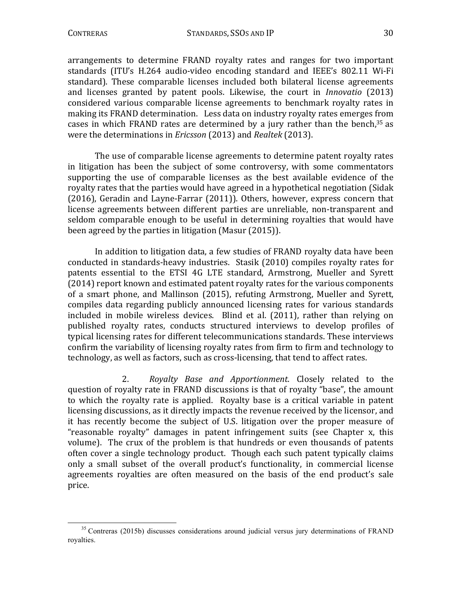arrangements to determine FRAND royalty rates and ranges for two important standards (ITU's H.264 audio-video encoding standard and IEEE's 802.11 Wi-Fi standard). These comparable licenses included both bilateral license agreements and licenses granted by patent pools. Likewise, the court in *Innovatio* (2013) considered various comparable license agreements to benchmark royalty rates in making its FRAND determination. Less data on industry royalty rates emerges from cases in which FRAND rates are determined by a jury rather than the bench, $35$  as were the determinations in *Ericsson* (2013) and *Realtek* (2013).

The use of comparable license agreements to determine patent royalty rates in litigation has been the subject of some controversy, with some commentators supporting the use of comparable licenses as the best available evidence of the royalty rates that the parties would have agreed in a hypothetical negotiation (Sidak  $(2016)$ , Geradin and Layne-Farrar  $(2011)$ ). Others, however, express concern that license agreements between different parties are unreliable, non-transparent and seldom comparable enough to be useful in determining royalties that would have been agreed by the parties in litigation (Masur (2015)).

In addition to litigation data, a few studies of FRAND royalty data have been conducted in standards-heavy industries. Stasik (2010) compiles royalty rates for patents essential to the ETSI 4G LTE standard, Armstrong, Mueller and Syrett (2014) report known and estimated patent royalty rates for the various components of a smart phone, and Mallinson (2015), refuting Armstrong, Mueller and Syrett, compiles data regarding publicly announced licensing rates for various standards included in mobile wireless devices. Blind et al. (2011), rather than relying on published royalty rates, conducts structured interviews to develop profiles of typical licensing rates for different telecommunications standards. These interviews confirm the variability of licensing royalty rates from firm to firm and technology to technology, as well as factors, such as cross-licensing, that tend to affect rates.

2. *Royalty Base and Apportionment*. Closely related to the question of royalty rate in FRAND discussions is that of royalty "base", the amount to which the royalty rate is applied. Royalty base is a critical variable in patent licensing discussions, as it directly impacts the revenue received by the licensor, and it has recently become the subject of U.S. litigation over the proper measure of "reasonable royalty" damages in patent infringement suits (see Chapter  $x$ , this volume). The crux of the problem is that hundreds or even thousands of patents often cover a single technology product. Though each such patent typically claims only a small subset of the overall product's functionality, in commercial license agreements royalties are often measured on the basis of the end product's sale price.

<sup>&</sup>lt;sup>35</sup> Contreras (2015b) discusses considerations around judicial versus jury determinations of FRAND royalties.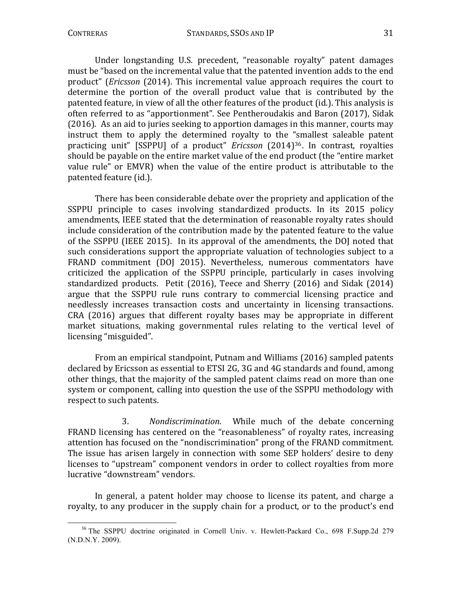Under longstanding U.S. precedent, "reasonable royalty" patent damages must be "based on the incremental value that the patented invention adds to the end product" (*Ericsson* (2014). This incremental value approach requires the court to determine the portion of the overall product value that is contributed by the patented feature, in view of all the other features of the product (id.). This analysis is often referred to as "apportionment". See Pentheroudakis and Baron (2017), Sidak (2016). As an aid to juries seeking to apportion damages in this manner, courts may instruct them to apply the determined royalty to the "smallest saleable patent practicing unit" [SSPPU] of a product" *Ericsson* (2014)<sup>36</sup>. In contrast, royalties should be payable on the entire market value of the end product (the "entire market" value rule" or EMVR) when the value of the entire product is attributable to the patented feature (id.).

There has been considerable debate over the propriety and application of the SSPPU principle to cases involving standardized products. In its 2015 policy amendments, IEEE stated that the determination of reasonable royalty rates should include consideration of the contribution made by the patented feature to the value of the SSPPU (IEEE 2015). In its approval of the amendments, the DOJ noted that such considerations support the appropriate valuation of technologies subject to a FRAND commitment (DOJ 2015). Nevertheless, numerous commentators have criticized the application of the SSPPU principle, particularly in cases involving standardized products. Petit  $(2016)$ , Teece and Sherry  $(2016)$  and Sidak  $(2014)$ argue that the SSPPU rule runs contrary to commercial licensing practice and needlessly increases transaction costs and uncertainty in licensing transactions.  $CRA$  (2016) argues that different royalty bases may be appropriate in different market situations, making governmental rules relating to the vertical level of licensing "misguided".

From an empirical standpoint, Putnam and Williams (2016) sampled patents declared by Ericsson as essential to ETSI 2G, 3G and 4G standards and found, among other things, that the majority of the sampled patent claims read on more than one system or component, calling into question the use of the SSPPU methodology with respect to such patents.

3. *Nondiscrimination*. While much of the debate concerning FRAND licensing has centered on the "reasonableness" of royalty rates, increasing attention has focused on the "nondiscrimination" prong of the FRAND commitment. The issue has arisen largely in connection with some SEP holders' desire to deny licenses to "upstream" component vendors in order to collect royalties from more lucrative "downstream" vendors.

In general, a patent holder may choose to license its patent, and charge a royalty, to any producer in the supply chain for a product, or to the product's end

<sup>&</sup>lt;sup>36</sup> The SSPPU doctrine originated in Cornell Univ. v. Hewlett-Packard Co., 698 F.Supp.2d 279 (N.D.N.Y. 2009).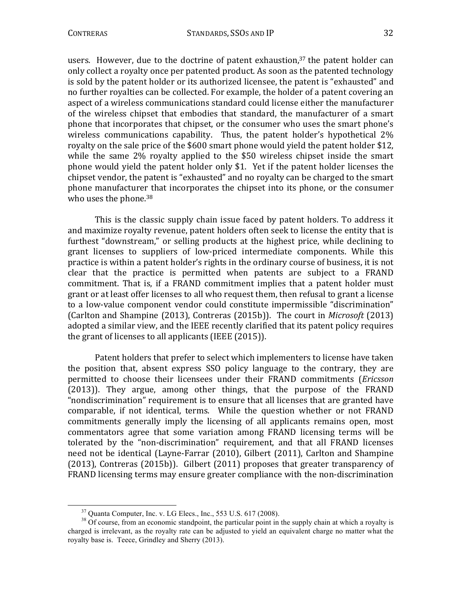users. However, due to the doctrine of patent exhaustion, $37$  the patent holder can only collect a royalty once per patented product. As soon as the patented technology is sold by the patent holder or its authorized licensee, the patent is "exhausted" and no further royalties can be collected. For example, the holder of a patent covering an aspect of a wireless communications standard could license either the manufacturer of the wireless chipset that embodies that standard, the manufacturer of a smart phone that incorporates that chipset, or the consumer who uses the smart phone's wireless communications capability. Thus, the patent holder's hypothetical  $2\%$ royalty on the sale price of the \$600 smart phone would yield the patent holder \$12, while the same  $2\%$  royalty applied to the \$50 wireless chipset inside the smart phone would yield the patent holder only \$1. Yet if the patent holder licenses the chipset vendor, the patent is "exhausted" and no royalty can be charged to the smart phone manufacturer that incorporates the chipset into its phone, or the consumer who uses the phone.<sup>38</sup>

This is the classic supply chain issue faced by patent holders. To address it and maximize royalty revenue, patent holders often seek to license the entity that is furthest "downstream," or selling products at the highest price, while declining to grant licenses to suppliers of low-priced intermediate components. While this practice is within a patent holder's rights in the ordinary course of business, it is not clear that the practice is permitted when patents are subject to a FRAND commitment. That is, if a FRAND commitment implies that a patent holder must grant or at least offer licenses to all who request them, then refusal to grant a license to a low-value component vendor could constitute impermissible "discrimination" (Carlton and Shampine (2013), Contreras (2015b)). The court in *Microsoft* (2013) adopted a similar view, and the IEEE recently clarified that its patent policy requires the grant of licenses to all applicants (IEEE  $(2015)$ ).

Patent holders that prefer to select which implementers to license have taken the position that, absent express SSO policy language to the contrary, they are permitted to choose their licensees under their FRAND commitments (*Ericsson* (2013)). They argue, among other things, that the purpose of the FRAND "nondiscrimination" requirement is to ensure that all licenses that are granted have comparable, if not identical, terms. While the question whether or not FRAND commitments generally imply the licensing of all applicants remains open, most commentators agree that some variation among FRAND licensing terms will be tolerated by the "non-discrimination" requirement, and that all FRAND licenses need not be identical (Layne-Farrar (2010), Gilbert (2011), Carlton and Shampine  $(2013)$ , Contreras  $(2015b)$ ). Gilbert  $(2011)$  proposes that greater transparency of FRAND licensing terms may ensure greater compliance with the non-discrimination

 $37$  Quanta Computer, Inc. v. LG Elecs., Inc., 553 U.S. 617 (2008).<br><sup>38</sup> Of course, from an economic standpoint, the particular point in the supply chain at which a royalty is charged is irrelevant, as the royalty rate can be adjusted to yield an equivalent charge no matter what the royalty base is. Teece, Grindley and Sherry (2013).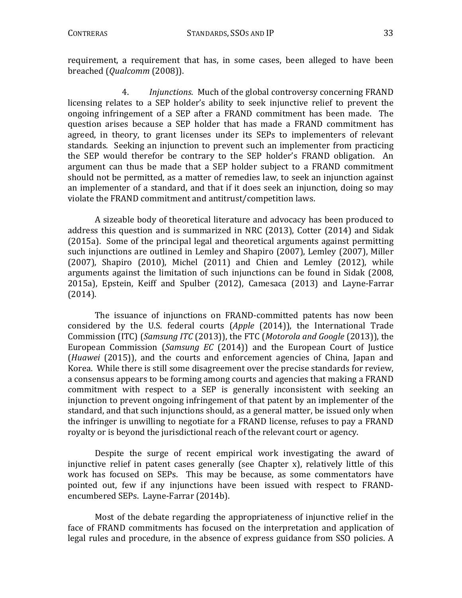requirement, a requirement that has, in some cases, been alleged to have been breached (*Qualcomm* (2008)).

4. *Injunctions*. Much of the global controversy concerning FRAND licensing relates to a SEP holder's ability to seek injunctive relief to prevent the ongoing infringement of a SEP after a FRAND commitment has been made. The question arises because a SEP holder that has made a FRAND commitment has agreed, in theory, to grant licenses under its SEPs to implementers of relevant standards. Seeking an injunction to prevent such an implementer from practicing the SEP would therefor be contrary to the SEP holder's FRAND obligation. An argument can thus be made that a SEP holder subject to a FRAND commitment should not be permitted, as a matter of remedies law, to seek an injunction against an implementer of a standard, and that if it does seek an injunction, doing so may violate the FRAND commitment and antitrust/competition laws.

A sizeable body of theoretical literature and advocacy has been produced to address this question and is summarized in NRC (2013), Cotter (2014) and Sidak (2015a). Some of the principal legal and theoretical arguments against permitting such injunctions are outlined in Lemley and Shapiro (2007), Lemley (2007), Miller  $(2007)$ , Shapiro  $(2010)$ , Michel  $(2011)$  and Chien and Lemley  $(2012)$ , while arguments against the limitation of such injunctions can be found in Sidak (2008, 2015a), Epstein, Keiff and Spulber (2012), Camesaca (2013) and Layne-Farrar (2014).

The issuance of injunctions on FRAND-committed patents has now been considered by the U.S. federal courts (*Apple* (2014)), the International Trade Commission (ITC) (*Samsung ITC* (2013)), the FTC (*Motorola and Google* (2013)), the European Commission (*Samsung EC* (2014)) and the European Court of Justice (*Huawei* (2015)), and the courts and enforcement agencies of China, Japan and Korea. While there is still some disagreement over the precise standards for review, a consensus appears to be forming among courts and agencies that making a FRAND commitment with respect to a SEP is generally inconsistent with seeking an injunction to prevent ongoing infringement of that patent by an implementer of the standard, and that such injunctions should, as a general matter, be issued only when the infringer is unwilling to negotiate for a FRAND license, refuses to pay a FRAND royalty or is beyond the jurisdictional reach of the relevant court or agency.

Despite the surge of recent empirical work investigating the award of injunctive relief in patent cases generally (see Chapter x), relatively little of this work has focused on SEPs. This may be because, as some commentators have pointed out, few if any injunctions have been issued with respect to FRANDencumbered SEPs. Layne-Farrar (2014b).

Most of the debate regarding the appropriateness of injunctive relief in the face of FRAND commitments has focused on the interpretation and application of legal rules and procedure, in the absence of express guidance from SSO policies. A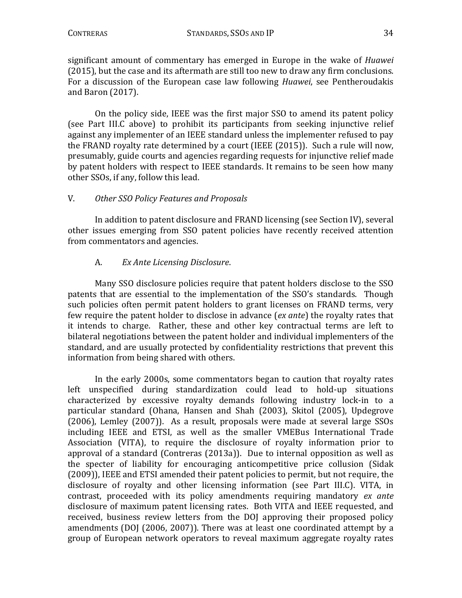significant amount of commentary has emerged in Europe in the wake of *Huawei* (2015), but the case and its aftermath are still too new to draw any firm conclusions. For a discussion of the European case law following *Huawei*, see Pentheroudakis and Baron  $(2017)$ .

On the policy side, IEEE was the first major SSO to amend its patent policy (see Part III.C above) to prohibit its participants from seeking injunctive relief against any implementer of an IEEE standard unless the implementer refused to pay the FRAND royalty rate determined by a court (IEEE  $(2015)$ ). Such a rule will now, presumably, guide courts and agencies regarding requests for injunctive relief made by patent holders with respect to IEEE standards. It remains to be seen how many other SSOs, if any, follow this lead.

## V. *Other SSO Policy Features and Proposals*

In addition to patent disclosure and FRAND licensing (see Section IV), several other issues emerging from SSO patent policies have recently received attention from commentators and agencies.

# A. *Ex Ante Licensing Disclosure.*

Many SSO disclosure policies require that patent holders disclose to the SSO patents that are essential to the implementation of the SSO's standards. Though such policies often permit patent holders to grant licenses on FRAND terms, very few require the patent holder to disclose in advance (*ex ante*) the royalty rates that it intends to charge. Rather, these and other key contractual terms are left to bilateral negotiations between the patent holder and individual implementers of the standard, and are usually protected by confidentiality restrictions that prevent this information from being shared with others.

In the early 2000s, some commentators began to caution that royalty rates left unspecified during standardization could lead to hold-up situations characterized by excessive royalty demands following industry lock-in to a particular standard (Ohana, Hansen and Shah (2003), Skitol (2005), Updegrove  $(2006)$ , Lemley  $(2007)$ ). As a result, proposals were made at several large SSOs including IEEE and ETSI, as well as the smaller VMEBus International Trade Association (VITA), to require the disclosure of royalty information prior to approval of a standard (Contreras  $(2013a)$ ). Due to internal opposition as well as the specter of liability for encouraging anticompetitive price collusion (Sidak (2009)), IEEE and ETSI amended their patent policies to permit, but not require, the disclosure of royalty and other licensing information (see Part III.C). VITA, in contrast, proceeded with its policy amendments requiring mandatory *ex ante* disclosure of maximum patent licensing rates. Both VITA and IEEE requested, and received, business review letters from the DOJ approving their proposed policy amendments (DOJ (2006, 2007)). There was at least one coordinated attempt by a group of European network operators to reveal maximum aggregate royalty rates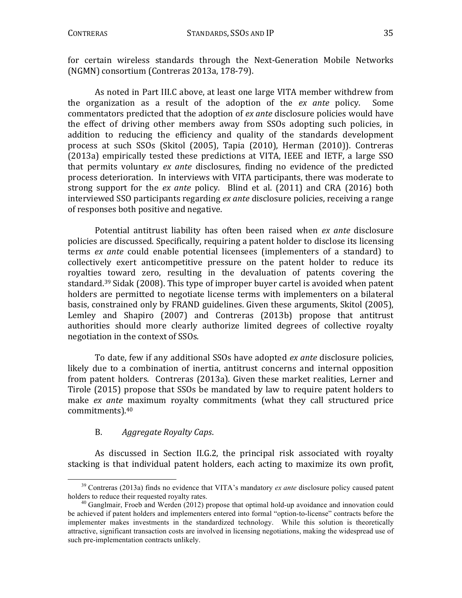for certain wireless standards through the Next-Generation Mobile Networks (NGMN) consortium (Contreras 2013a, 178-79).

As noted in Part III.C above, at least one large VITA member withdrew from the organization as a result of the adoption of the *ex ante* policy. Some commentators predicted that the adoption of *ex ante* disclosure policies would have the effect of driving other members away from SSOs adopting such policies, in addition to reducing the efficiency and quality of the standards development process at such SSOs (Skitol (2005), Tapia (2010), Herman (2010)). Contreras (2013a) empirically tested these predictions at VITA, IEEE and IETF, a large SSO that permits voluntary *ex ante* disclosures, finding no evidence of the predicted process deterioration. In interviews with VITA participants, there was moderate to strong support for the *ex ante* policy. Blind et al. (2011) and CRA (2016) both interviewed SSO participants regarding *ex ante* disclosure policies, receiving a range of responses both positive and negative.

Potential antitrust liability has often been raised when *ex ante* disclosure policies are discussed. Specifically, requiring a patent holder to disclose its licensing terms *ex ante* could enable potential licensees (implementers of a standard) to collectively exert anticompetitive pressure on the patent holder to reduce its royalties toward zero, resulting in the devaluation of patents covering the standard.<sup>39</sup> Sidak (2008). This type of improper buyer cartel is avoided when patent holders are permitted to negotiate license terms with implementers on a bilateral basis, constrained only by FRAND guidelines. Given these arguments, Skitol (2005), Lemley and Shapiro (2007) and Contreras (2013b) propose that antitrust authorities should more clearly authorize limited degrees of collective royalty negotiation in the context of SSOs.

To date, few if any additional SSOs have adopted *ex ante* disclosure policies, likely due to a combination of inertia, antitrust concerns and internal opposition from patent holders. Contreras (2013a). Given these market realities, Lerner and Tirole (2015) propose that SSOs be mandated by law to require patent holders to make *ex* ante maximum royalty commitments (what they call structured price commitments).40

# B. *Aggregate Royalty Caps.*

As discussed in Section II.G.2, the principal risk associated with royalty stacking is that individual patent holders, each acting to maximize its own profit,

 <sup>39</sup> Contreras (2013a) finds no evidence that VITA's mandatory *ex ante* disclosure policy caused patent holders to reduce their requested royalty rates.<br><sup>40</sup> Ganglmair, Froeb and Werden (2012) propose that optimal hold-up avoidance and innovation could

be achieved if patent holders and implementers entered into formal "option-to-license" contracts before the implementer makes investments in the standardized technology. While this solution is theoretically attractive, significant transaction costs are involved in licensing negotiations, making the widespread use of such pre-implementation contracts unlikely.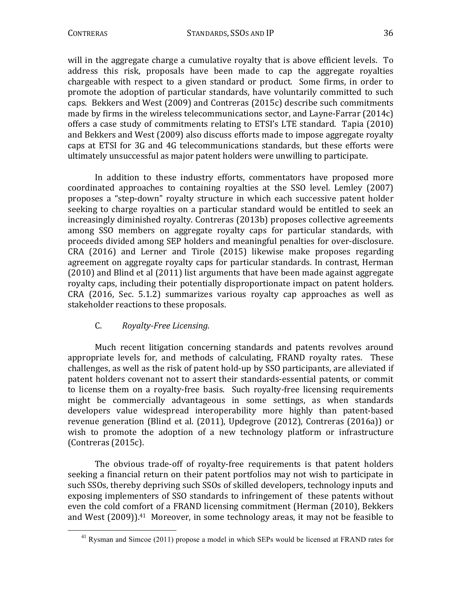will in the aggregate charge a cumulative royalty that is above efficient levels. To address this risk, proposals have been made to cap the aggregate royalties chargeable with respect to a given standard or product. Some firms, in order to promote the adoption of particular standards, have voluntarily committed to such caps. Bekkers and West (2009) and Contreras (2015c) describe such commitments made by firms in the wireless telecommunications sector, and Layne-Farrar  $(2014c)$ offers a case study of commitments relating to ETSI's LTE standard. Tapia (2010) and Bekkers and West (2009) also discuss efforts made to impose aggregate royalty caps at ETSI for 3G and 4G telecommunications standards, but these efforts were ultimately unsuccessful as major patent holders were unwilling to participate.

In addition to these industry efforts, commentators have proposed more coordinated approaches to containing royalties at the SSO level. Lemley (2007) proposes a "step-down" royalty structure in which each successive patent holder seeking to charge royalties on a particular standard would be entitled to seek an increasingly diminished royalty. Contreras (2013b) proposes collective agreements among SSO members on aggregate royalty caps for particular standards, with proceeds divided among SEP holders and meaningful penalties for over-disclosure. CRA (2016) and Lerner and Tirole (2015) likewise make proposes regarding agreement on aggregate royalty caps for particular standards. In contrast, Herman  $(2010)$  and Blind et al  $(2011)$  list arguments that have been made against aggregate royalty caps, including their potentially disproportionate impact on patent holders.  $CRA$  (2016, Sec. 5.1.2) summarizes various royalty cap approaches as well as stakeholder reactions to these proposals.

# C. *Royalty-Free Licensing*.

Much recent litigation concerning standards and patents revolves around appropriate levels for, and methods of calculating, FRAND royalty rates. These challenges, as well as the risk of patent hold-up by SSO participants, are alleviated if patent holders covenant not to assert their standards-essential patents, or commit to license them on a royalty-free basis. Such royalty-free licensing requirements might be commercially advantageous in some settings, as when standards developers value widespread interoperability more highly than patent-based revenue generation (Blind et al.  $(2011)$ , Updegrove  $(2012)$ , Contreras  $(2016a)$ ) or wish to promote the adoption of a new technology platform or infrastructure  $(Contreras (2015c).$ 

The obvious trade-off of royalty-free requirements is that patent holders seeking a financial return on their patent portfolios may not wish to participate in such SSOs, thereby depriving such SSOs of skilled developers, technology inputs and exposing implementers of SSO standards to infringement of these patents without even the cold comfort of a FRAND licensing commitment (Herman (2010), Bekkers and West  $(2009)$ .<sup>41</sup> Moreover, in some technology areas, it may not be feasible to

 $^{41}$  Rysman and Simcoe (2011) propose a model in which SEPs would be licensed at FRAND rates for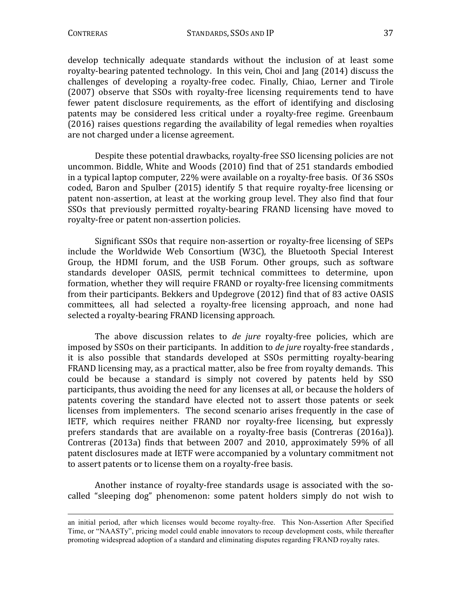develop technically adequate standards without the inclusion of at least some royalty-bearing patented technology. In this yein, Choi and Jang (2014) discuss the challenges of developing a royalty-free codec. Finally, Chiao, Lerner and Tirole (2007) observe that SSOs with royalty-free licensing requirements tend to have fewer patent disclosure requirements, as the effort of identifying and disclosing patents may be considered less critical under a royalty-free regime. Greenbaum  $(2016)$  raises questions regarding the availability of legal remedies when royalties are not charged under a license agreement.

Despite these potential drawbacks, royalty-free SSO licensing policies are not uncommon. Biddle, White and Woods (2010) find that of 251 standards embodied in a typical laptop computer, 22% were available on a royalty-free basis. Of 36 SSOs coded, Baron and Spulber (2015) identify 5 that require royalty-free licensing or patent non-assertion, at least at the working group level. They also find that four SSOs that previously permitted royalty-bearing FRAND licensing have moved to royalty-free or patent non-assertion policies.

Significant SSOs that require non-assertion or royalty-free licensing of SEPs include the Worldwide Web Consortium (W3C), the Bluetooth Special Interest Group, the HDMI forum, and the USB Forum. Other groups, such as software standards developer OASIS, permit technical committees to determine, upon formation, whether they will require FRAND or royalty-free licensing commitments from their participants. Bekkers and Updegrove (2012) find that of 83 active OASIS committees, all had selected a royalty-free licensing approach, and none had selected a royalty-bearing FRAND licensing approach.

The above discussion relates to *de jure* royalty-free policies, which are imposed by SSOs on their participants. In addition to *de jure* royalty-free standards, it is also possible that standards developed at SSOs permitting royalty-bearing FRAND licensing may, as a practical matter, also be free from royalty demands. This could be because a standard is simply not covered by patents held by SSO participants, thus avoiding the need for any licenses at all, or because the holders of patents covering the standard have elected not to assert those patents or seek licenses from implementers. The second scenario arises frequently in the case of IETF, which requires neither FRAND nor royalty-free licensing, but expressly prefers standards that are available on a royalty-free basis (Contreras (2016a)). Contreras (2013a) finds that between 2007 and 2010, approximately 59% of all patent disclosures made at IETF were accompanied by a voluntary commitment not to assert patents or to license them on a royalty-free basis.

Another instance of royalty-free standards usage is associated with the socalled "sleeping dog" phenomenon: some patent holders simply do not wish to

<u> 1989 - Andrea San Andrea San Andrea San Andrea San Andrea San Andrea San Andrea San Andrea San Andrea San An</u>

an initial period, after which licenses would become royalty-free. This Non-Assertion After Specified Time, or "NAASTy", pricing model could enable innovators to recoup development costs, while thereafter promoting widespread adoption of a standard and eliminating disputes regarding FRAND royalty rates.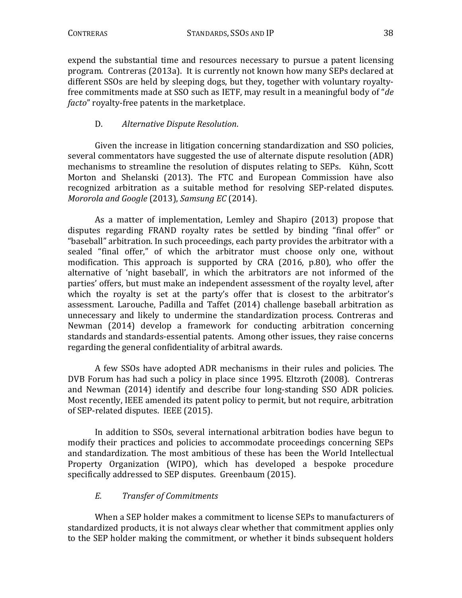expend the substantial time and resources necessary to pursue a patent licensing program. Contreras (2013a). It is currently not known how many SEPs declared at different SSOs are held by sleeping dogs, but they, together with voluntary royaltyfree commitments made at SSO such as IETF, may result in a meaningful body of "*de facto*" royalty-free patents in the marketplace.

# D. Alternative Dispute Resolution.

Given the increase in litigation concerning standardization and SSO policies, several commentators have suggested the use of alternate dispute resolution (ADR) mechanisms to streamline the resolution of disputes relating to SEPs. Kühn, Scott Morton and Shelanski (2013). The FTC and European Commission have also recognized arbitration as a suitable method for resolving SEP-related disputes. *Mororola and Google* (2013), *Samsung EC* (2014).

As a matter of implementation, Lemley and Shapiro (2013) propose that disputes regarding FRAND royalty rates be settled by binding "final offer" or "baseball" arbitration. In such proceedings, each party provides the arbitrator with a sealed "final offer," of which the arbitrator must choose only one, without modification. This approach is supported by CRA (2016, p.80), who offer the alternative of 'night baseball', in which the arbitrators are not informed of the parties' offers, but must make an independent assessment of the royalty level, after which the royalty is set at the party's offer that is closest to the arbitrator's assessment. Larouche, Padilla and Taffet (2014) challenge baseball arbitration as unnecessary and likely to undermine the standardization process. Contreras and Newman (2014) develop a framework for conducting arbitration concerning standards and standards-essential patents. Among other issues, they raise concerns regarding the general confidentiality of arbitral awards.

A few SSOs have adopted ADR mechanisms in their rules and policies. The DVB Forum has had such a policy in place since 1995. Eltzroth (2008). Contreras and Newman (2014) identify and describe four long-standing SSO ADR policies. Most recently, IEEE amended its patent policy to permit, but not require, arbitration of SEP-related disputes. IEEE (2015).

In addition to SSOs, several international arbitration bodies have begun to modify their practices and policies to accommodate proceedings concerning SEPs and standardization. The most ambitious of these has been the World Intellectual Property Organization (WIPO), which has developed a bespoke procedure specifically addressed to SEP disputes. Greenbaum (2015).

# *E. Transfer of Commitments*

When a SEP holder makes a commitment to license SEPs to manufacturers of standardized products, it is not always clear whether that commitment applies only to the SEP holder making the commitment, or whether it binds subsequent holders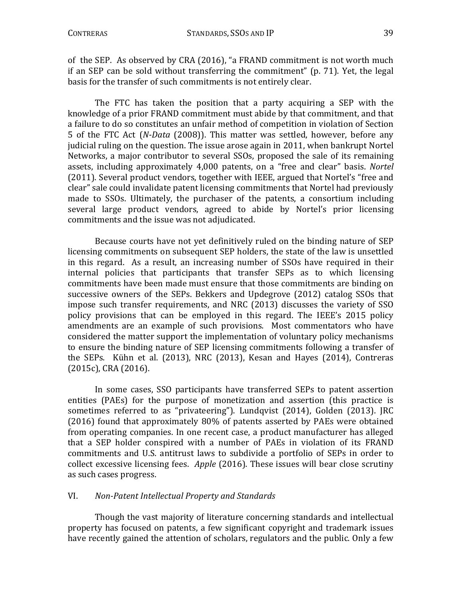of the SEP. As observed by CRA (2016), "a FRAND commitment is not worth much if an SEP can be sold without transferring the commitment" (p.  $71$ ). Yet, the legal basis for the transfer of such commitments is not entirely clear.

The FTC has taken the position that a party acquiring a SEP with the knowledge of a prior FRAND commitment must abide by that commitment, and that a failure to do so constitutes an unfair method of competition in violation of Section 5 of the FTC Act (*N-Data* (2008)). This matter was settled, however, before any judicial ruling on the question. The issue arose again in 2011, when bankrupt Nortel Networks, a major contributor to several SSOs, proposed the sale of its remaining assets, including approximately 4,000 patents, on a "free and clear" basis. *Nortel* (2011). Several product vendors, together with IEEE, argued that Nortel's "free and clear" sale could invalidate patent licensing commitments that Nortel had previously made to SSOs. Ultimately, the purchaser of the patents, a consortium including several large product vendors, agreed to abide by Nortel's prior licensing commitments and the issue was not adjudicated.

Because courts have not yet definitively ruled on the binding nature of SEP licensing commitments on subsequent SEP holders, the state of the law is unsettled in this regard. As a result, an increasing number of SSOs have required in their internal policies that participants that transfer SEPs as to which licensing commitments have been made must ensure that those commitments are binding on successive owners of the SEPs. Bekkers and Updegrove (2012) catalog SSOs that impose such transfer requirements, and NRC (2013) discusses the variety of SSO policy provisions that can be employed in this regard. The IEEE's 2015 policy amendments are an example of such provisions. Most commentators who have considered the matter support the implementation of voluntary policy mechanisms to ensure the binding nature of SEP licensing commitments following a transfer of the SEPs. Kühn et al.  $(2013)$ , NRC  $(2013)$ , Kesan and Hayes  $(2014)$ , Contreras  $(2015c)$ , CRA $(2016)$ .

In some cases, SSO participants have transferred SEPs to patent assertion entities (PAEs) for the purpose of monetization and assertion (this practice is sometimes referred to as "privateering"). Lundqvist (2014), Golden (2013). JRC  $(2016)$  found that approximately  $80\%$  of patents asserted by PAEs were obtained from operating companies. In one recent case, a product manufacturer has alleged that a SEP holder conspired with a number of PAEs in violation of its FRAND commitments and U.S. antitrust laws to subdivide a portfolio of SEPs in order to collect excessive licensing fees. *Apple* (2016). These issues will bear close scrutiny as such cases progress.

## VI. Non-Patent Intellectual Property and Standards

Though the vast majority of literature concerning standards and intellectual property has focused on patents, a few significant copyright and trademark issues have recently gained the attention of scholars, regulators and the public. Only a few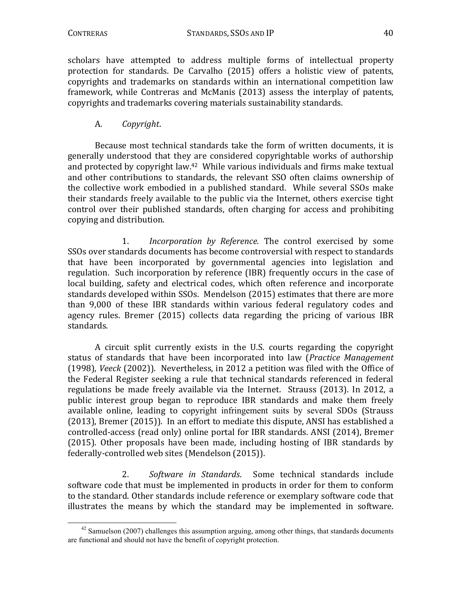scholars have attempted to address multiple forms of intellectual property protection for standards. De Carvalho (2015) offers a holistic view of patents, copyrights and trademarks on standards within an international competition law framework, while Contreras and McManis (2013) assess the interplay of patents, copyrights and trademarks covering materials sustainability standards.

# A. *Copyright*.

Because most technical standards take the form of written documents, it is generally understood that they are considered copyrightable works of authorship and protected by copyright law.<sup>42</sup> While various individuals and firms make textual and other contributions to standards, the relevant SSO often claims ownership of the collective work embodied in a published standard. While several SSOs make their standards freely available to the public via the Internet, others exercise tight control over their published standards, often charging for access and prohibiting copying and distribution.

1. *Incorporation by Reference*. The control exercised by some SSOs over standards documents has become controversial with respect to standards that have been incorporated by governmental agencies into legislation and regulation. Such incorporation by reference (IBR) frequently occurs in the case of local building, safety and electrical codes, which often reference and incorporate standards developed within SSOs. Mendelson (2015) estimates that there are more than 9,000 of these IBR standards within various federal regulatory codes and agency rules. Bremer (2015) collects data regarding the pricing of various IBR standards.

A circuit split currently exists in the U.S. courts regarding the copyright status of standards that have been incorporated into law (*Practice Management*) (1998), *Veeck* (2002)). Nevertheless, in 2012 a petition was filed with the Office of the Federal Register seeking a rule that technical standards referenced in federal regulations be made freely available via the Internet. Strauss (2013). In 2012, a public interest group began to reproduce IBR standards and make them freely available online, leading to copyright infringement suits by several SDOs (Strauss  $(2013)$ , Bremer  $(2015)$ ). In an effort to mediate this dispute, ANSI has established a controlled-access (read only) online portal for IBR standards. ANSI (2014), Bremer (2015). Other proposals have been made, including hosting of IBR standards by federally-controlled web sites (Mendelson (2015)).

2. *Software in Standards*. Some technical standards include software code that must be implemented in products in order for them to conform to the standard. Other standards include reference or exemplary software code that illustrates the means by which the standard may be implemented in software.

 $42$  Samuelson (2007) challenges this assumption arguing, among other things, that standards documents are functional and should not have the benefit of copyright protection.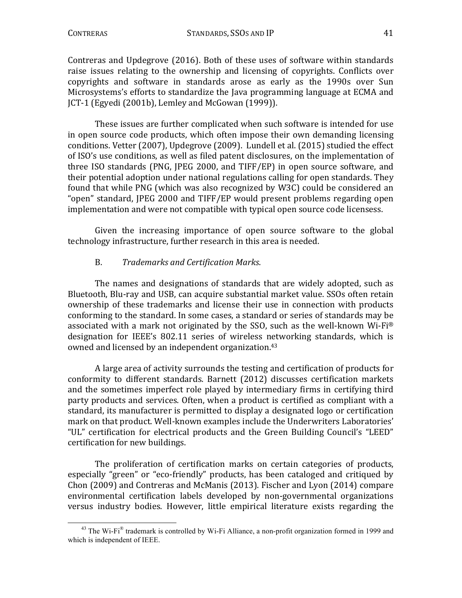Contreras and Updegrove (2016). Both of these uses of software within standards raise issues relating to the ownership and licensing of copyrights. Conflicts over copyrights and software in standards arose as early as the 1990s over Sun Microsystems's efforts to standardize the Java programming language at ECMA and JCT-1 (Egyedi (2001b), Lemley and McGowan (1999)).

These issues are further complicated when such software is intended for use in open source code products, which often impose their own demanding licensing conditions. Vetter (2007), Updegrove (2009). Lundell et al. (2015) studied the effect of ISO's use conditions, as well as filed patent disclosures, on the implementation of three ISO standards (PNG, IPEG 2000, and TIFF/EP) in open source software, and their potential adoption under national regulations calling for open standards. They found that while PNG (which was also recognized by W3C) could be considered an "open" standard, JPEG 2000 and TIFF/EP would present problems regarding open implementation and were not compatible with typical open source code licensess.

Given the increasing importance of open source software to the global technology infrastructure, further research in this area is needed.

#### B. *Trademarks and Certification Marks*.

The names and designations of standards that are widely adopted, such as Bluetooth, Blu-ray and USB, can acquire substantial market value. SSOs often retain ownership of these trademarks and license their use in connection with products conforming to the standard. In some cases, a standard or series of standards may be associated with a mark not originated by the SSO, such as the well-known Wi-Fi® designation for IEEE's 802.11 series of wireless networking standards, which is owned and licensed by an independent organization.<sup>43</sup>

A large area of activity surrounds the testing and certification of products for conformity to different standards. Barnett (2012) discusses certification markets and the sometimes imperfect role played by intermediary firms in certifying third party products and services. Often, when a product is certified as compliant with a standard, its manufacturer is permitted to display a designated logo or certification mark on that product. Well-known examples include the Underwriters Laboratories' "UL" certification for electrical products and the Green Building Council's "LEED" certification for new buildings.

The proliferation of certification marks on certain categories of products, especially "green" or "eco-friendly" products, has been cataloged and critiqued by Chon (2009) and Contreras and McManis (2013). Fischer and Lyon (2014) compare environmental certification labels developed by non-governmental organizations versus industry bodies. However, little empirical literature exists regarding the

<sup>&</sup>lt;sup>43</sup> The Wi-Fi<sup>®</sup> trademark is controlled by Wi-Fi Alliance, a non-profit organization formed in 1999 and which is independent of IEEE.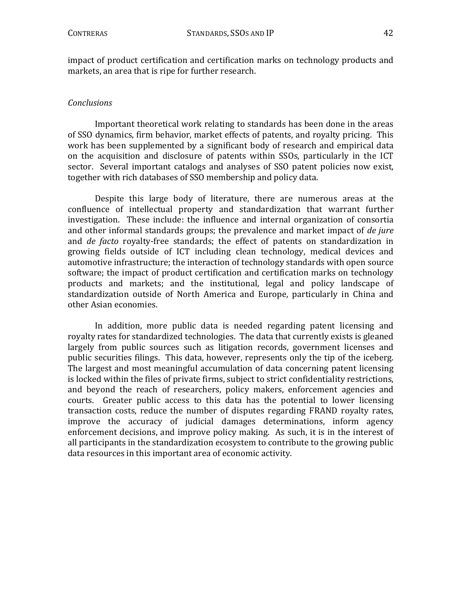markets, an area that is ripe for further research.

#### *Conclusions*

Important theoretical work relating to standards has been done in the areas of SSO dynamics, firm behavior, market effects of patents, and royalty pricing. This work has been supplemented by a significant body of research and empirical data on the acquisition and disclosure of patents within SSOs, particularly in the ICT sector. Several important catalogs and analyses of SSO patent policies now exist, together with rich databases of SSO membership and policy data.

Despite this large body of literature, there are numerous areas at the confluence of intellectual property and standardization that warrant further investigation. These include: the influence and internal organization of consortia and other informal standards groups; the prevalence and market impact of *de jure* and *de facto* royalty-free standards; the effect of patents on standardization in growing fields outside of ICT including clean technology, medical devices and automotive infrastructure; the interaction of technology standards with open source software; the impact of product certification and certification marks on technology products and markets; and the institutional, legal and policy landscape of standardization outside of North America and Europe, particularly in China and other Asian economies.

In addition, more public data is needed regarding patent licensing and royalty rates for standardized technologies. The data that currently exists is gleaned largely from public sources such as litigation records, government licenses and public securities filings. This data, however, represents only the tip of the iceberg. The largest and most meaningful accumulation of data concerning patent licensing is locked within the files of private firms, subject to strict confidentiality restrictions, and beyond the reach of researchers, policy makers, enforcement agencies and courts. Greater public access to this data has the potential to lower licensing transaction costs, reduce the number of disputes regarding FRAND royalty rates, improve the accuracy of judicial damages determinations, inform agency enforcement decisions, and improve policy making. As such, it is in the interest of all participants in the standardization ecosystem to contribute to the growing public data resources in this important area of economic activity.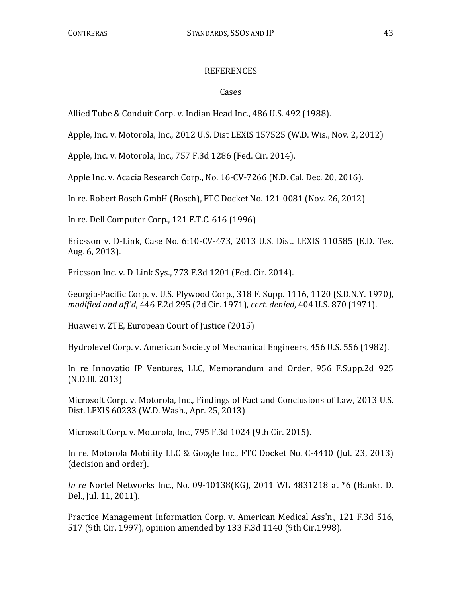## REFERENCES

## Cases

Allied Tube & Conduit Corp. v. Indian Head Inc., 486 U.S. 492 (1988).

Apple, Inc. v. Motorola, Inc., 2012 U.S. Dist LEXIS 157525 (W.D. Wis., Nov. 2, 2012)

Apple, Inc. v. Motorola, Inc., 757 F.3d 1286 (Fed. Cir. 2014).

Apple Inc. v. Acacia Research Corp., No.  $16$ -CV-7266 (N.D. Cal. Dec. 20, 2016).

In re. Robert Bosch GmbH (Bosch), FTC Docket No. 121-0081 (Nov. 26, 2012)

In re. Dell Computer Corp., 121 F.T.C. 616 (1996)

Ericsson v. D-Link, Case No. 6:10-CV-473, 2013 U.S. Dist. LEXIS 110585 (E.D. Tex. Aug. 6, 2013).

Ericsson Inc. v. D-Link Sys., 773 F.3d 1201 (Fed. Cir. 2014).

Georgia-Pacific Corp. v. U.S. Plywood Corp., 318 F. Supp. 1116, 1120 (S.D.N.Y. 1970), *modified and aff'd*, 446 F.2d 295 (2d Cir. 1971), *cert. denied*, 404 U.S. 870 (1971).

Huawei v. ZTE, European Court of Justice (2015)

Hydrolevel Corp. v. American Society of Mechanical Engineers, 456 U.S. 556 (1982).

In re Innovatio IP Ventures, LLC, Memorandum and Order, 956 F.Supp.2d 925  $(N.D.Ill. 2013)$ 

Microsoft Corp. v. Motorola, Inc., Findings of Fact and Conclusions of Law, 2013 U.S. Dist. LEXIS 60233 (W.D. Wash., Apr. 25, 2013)

Microsoft Corp. v. Motorola, Inc., 795 F.3d 1024 (9th Cir. 2015).

In re. Motorola Mobility LLC & Google Inc., FTC Docket No. C-4410 (Jul. 23, 2013) (decision and order).

*In re* Nortel Networks Inc., No. 09-10138(KG), 2011 WL 4831218 at \*6 (Bankr. D. Del., Jul. 11, 2011).

Practice Management Information Corp. v. American Medical Ass'n., 121 F.3d 516, 517 (9th Cir. 1997), opinion amended by 133 F.3d 1140 (9th Cir.1998).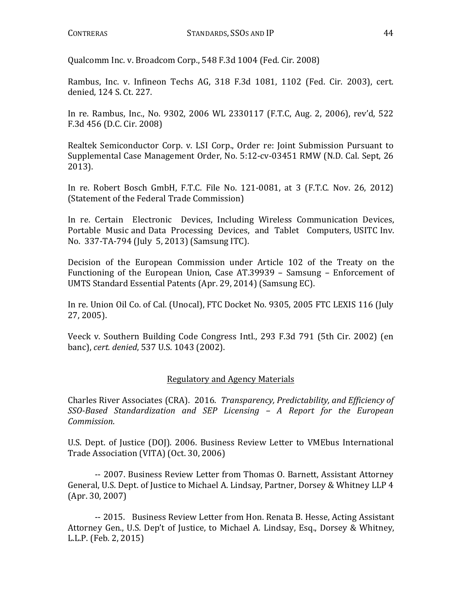Qualcomm Inc. v. Broadcom Corp., 548 F.3d 1004 (Fed. Cir. 2008)

Rambus, Inc. v. Infineon Techs AG, 318 F.3d 1081, 1102 (Fed. Cir. 2003), cert. denied, 124 S. Ct. 227.

In re. Rambus, Inc., No. 9302, 2006 WL 2330117 (F.T.C, Aug. 2, 2006), rev'd, 522 F.3d 456 (D.C. Cir. 2008)

Realtek Semiconductor Corp. v. LSI Corp., Order re: Joint Submission Pursuant to Supplemental Case Management Order, No. 5:12-cv-03451 RMW (N.D. Cal. Sept, 26 2013).

In re. Robert Bosch GmbH, F.T.C. File No. 121-0081, at 3 (F.T.C. Nov. 26, 2012) (Statement of the Federal Trade Commission)

In re. Certain Electronic Devices, Including Wireless Communication Devices, Portable Music and Data Processing Devices, and Tablet Computers, USITC Inv. No. 337-TA-794 (July 5, 2013) (Samsung ITC).

Decision of the European Commission under Article 102 of the Treaty on the Functioning of the European Union, Case AT.39939 – Samsung – Enforcement of UMTS Standard Essential Patents (Apr. 29, 2014) (Samsung EC).

In re. Union Oil Co. of Cal. (Unocal), FTC Docket No. 9305, 2005 FTC LEXIS 116 (July 27, 2005).

Veeck v. Southern Building Code Congress Intl., 293 F.3d 791 (5th Cir. 2002) (en banc), *cert. denied*, 537 U.S. 1043 (2002).

# **Regulatory and Agency Materials**

Charles River Associates (CRA). 2016. *Transparency, Predictability, and Efficiency of SSO-Based Standardization and SEP Licensing – A Report for the European Commission*.

U.S. Dept. of Justice (DOJ). 2006. Business Review Letter to VMEbus International Trade Association (VITA) (Oct. 30, 2006)

-- 2007. Business Review Letter from Thomas O. Barnett, Assistant Attorney General, U.S. Dept. of Justice to Michael A. Lindsay, Partner, Dorsey & Whitney LLP 4  $(Apr. 30, 2007)$ 

-- 2015. Business Review Letter from Hon. Renata B. Hesse, Acting Assistant Attorney Gen., U.S. Dep't of Justice, to Michael A. Lindsay, Esq., Dorsey & Whitney, L.L.P. (Feb. 2, 2015)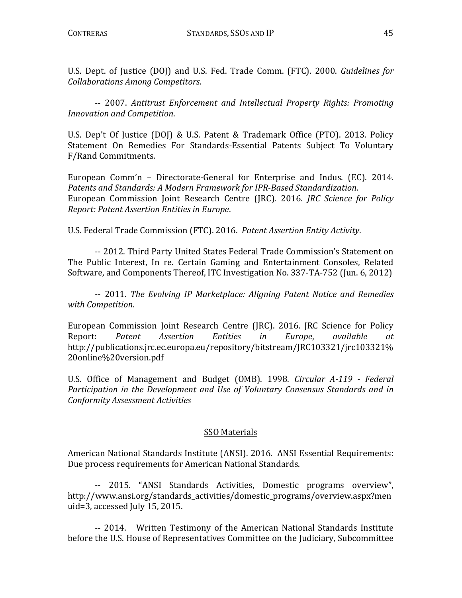U.S. Dept. of Justice (DOJ) and U.S. Fed. Trade Comm. (FTC). 2000. *Guidelines for Collaborations Among Competitors*.

-- 2007. Antitrust Enforcement and Intellectual Property Rights: Promoting *Innovation and Competition*.

U.S. Dep't Of Justice (DOJ) & U.S. Patent & Trademark Office (PTO). 2013. Policy Statement On Remedies For Standards-Essential Patents Subject To Voluntary F/Rand Commitments.

European Comm'n - Directorate-General for Enterprise and Indus. (EC). 2014. Patents and Standards: A Modern Framework for IPR-Based Standardization. European Commission Joint Research Centre (JRC). 2016. *JRC Science for Policy Report: Patent Assertion Entities in Europe*.

U.S. Federal Trade Commission (FTC). 2016. Patent Assertion Entity Activity.

-- 2012. Third Party United States Federal Trade Commission's Statement on The Public Interest, In re. Certain Gaming and Entertainment Consoles, Related Software, and Components Thereof, ITC Investigation No. 337-TA-752 (Jun. 6, 2012)

-- 2011. *The Evolving IP Marketplace: Aligning Patent Notice and Remedies with Competition*.

European Commission Joint Research Centre (JRC). 2016. JRC Science for Policy Report: *Patent Assertion Entities in Europe*, *available at* http://publications.jrc.ec.europa.eu/repository/bitstream/JRC103321/jrc103321% 20online%20version.pdf

U.S. Office of Management and Budget (OMB). 1998. *Circular A-119 - Federal* Participation in the Development and Use of Voluntary Consensus Standards and in *Conformity Assessment Activities*

## SSO Materials

American National Standards Institute (ANSI). 2016. ANSI Essential Requirements: Due process requirements for American National Standards.

-- 2015. "ANSI Standards Activities, Domestic programs overview", http://www.ansi.org/standards\_activities/domestic\_programs/overview.aspx?men uid=3, accessed July 15, 2015.

-- 2014. Written Testimony of the American National Standards Institute before the U.S. House of Representatives Committee on the Judiciary, Subcommittee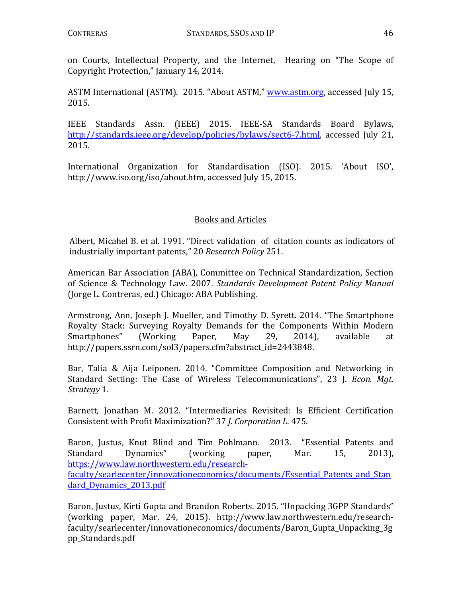on Courts, Intellectual Property, and the Internet, Hearing on "The Scope of Copyright Protection," January 14, 2014.

ASTM International (ASTM). 2015. "About ASTM," www.astm.org, accessed July 15, 2015.

IEEE Standards Assn. (IEEE) 2015. IEEE-SA Standards Board Bylaws, http://standards.jeee.org/develop/policies/bylaws/sect6-7.html, accessed July 21, 2015.

International Organization for Standardisation (ISO). 2015. 'About ISO', http://www.iso.org/iso/about.htm, accessed July 15, 2015.

# Books and Articles

Albert, Micahel B. et al. 1991. "Direct validation of citation counts as indicators of industrially important patents," 20 Research Policy 251.

American Bar Association (ABA), Committee on Technical Standardization, Section of Science & Technology Law. 2007. *Standards Development Patent Policy Manual* (Jorge L. Contreras, ed.) Chicago: ABA Publishing.

Armstrong, Ann, Joseph J. Mueller, and Timothy D. Syrett. 2014. "The Smartphone Royalty Stack: Surveying Royalty Demands for the Components Within Modern Smartphones" (Working Paper, May 29, 2014), available at http://papers.ssrn.com/sol3/papers.cfm?abstract\_id=2443848.

Bar, Talia & Aija Leiponen. 2014. "Committee Composition and Networking in Standard Setting: The Case of Wireless Telecommunications", 23 J. *Econ. Mgt. Strategy* 1.

Barnett, Jonathan M. 2012. "Intermediaries Revisited: Is Efficient Certification Consistent with Profit Maximization?" 37 *J. Corporation L.* 475.

Baron, Justus, Knut Blind and Tim Pohlmann. 2013. "Essential Patents and Standard Dynamics" (working paper, Mar. 15, 2013). https://www.law.northwestern.edu/researchfaculty/searlecenter/innovationeconomics/documents/Essential Patents and Stan

dard Dynamics 2013.pdf

Baron, Justus, Kirti Gupta and Brandon Roberts. 2015. "Unpacking 3GPP Standards" (working paper, Mar. 24, 2015). http://www.law.northwestern.edu/researchfaculty/searlecenter/innovationeconomics/documents/Baron\_Gupta\_Unpacking\_3g pp\_Standards.pdf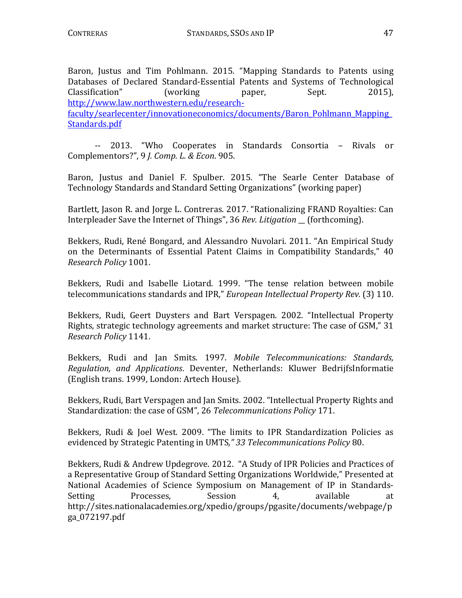Baron, Justus and Tim Pohlmann. 2015. "Mapping Standards to Patents using Databases of Declared Standard-Essential Patents and Systems of Technological Classification" (working paper, Sept. 2015), http://www.law.northwestern.edu/research-

faculty/searlecenter/innovationeconomics/documents/Baron\_Pohlmann\_Mapping\_ Standards.pdf

-- 2013. "Who Cooperates in Standards Consortia - Rivals or Complementors?", 9 *J. Comp. L. & Econ*. 905.

Baron, Justus and Daniel F. Spulber. 2015. "The Searle Center Database of Technology Standards and Standard Setting Organizations" (working paper)

Bartlett, Jason R. and Jorge L. Contreras. 2017. "Rationalizing FRAND Royalties: Can Interpleader Save the Internet of Things", 36 *Rev. Litigation* \_ (forthcoming).

Bekkers, Rudi, René Bongard, and Alessandro Nuvolari. 2011. "An Empirical Study on the Determinants of Essential Patent Claims in Compatibility Standards," 40 *Research Policy* 1001.

Bekkers, Rudi and Isabelle Liotard. 1999. "The tense relation between mobile telecommunications standards and IPR," *European Intellectual Property Rev.* (3) 110.

Bekkers, Rudi, Geert Duysters and Bart Verspagen. 2002. "Intellectual Property Rights, strategic technology agreements and market structure: The case of GSM," 31 *Research Policy* 1141.

Bekkers, Rudi and Jan Smits. 1997. Mobile Telecommunications: Standards, *Regulation, and Applications*. Deventer, Netherlands: Kluwer BedrijfsInformatie (English trans. 1999, London: Artech House).

Bekkers, Rudi, Bart Verspagen and Jan Smits. 2002. "Intellectual Property Rights and Standardization: the case of GSM", 26 Telecommunications Policy 171.

Bekkers, Rudi & Joel West. 2009. "The limits to IPR Standardization Policies as evidenced by Strategic Patenting in UMTS*," 33 Telecommunications Policy* 80.

Bekkers, Rudi & Andrew Updegrove. 2012. "A Study of IPR Policies and Practices of a Representative Group of Standard Setting Organizations Worldwide," Presented at National Academies of Science Symposium on Management of IP in Standards-Setting Processes, Session 4, available at http://sites.nationalacademies.org/xpedio/groups/pgasite/documents/webpage/p ga\_072197.pdf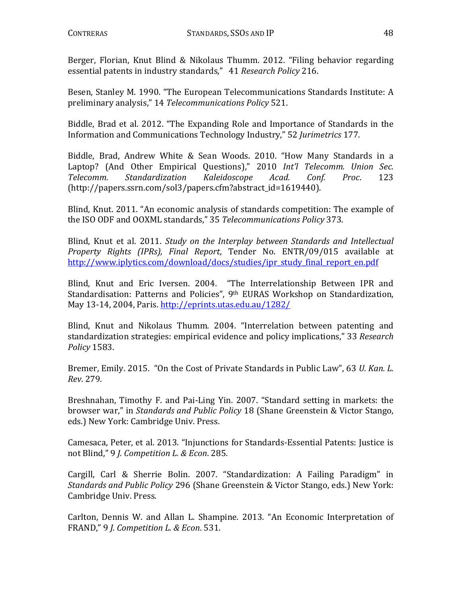Berger, Florian, Knut Blind & Nikolaus Thumm. 2012. "Filing behavior regarding essential patents in industry standards," 41 *Research Policy* 216.

Besen, Stanley M. 1990. "The European Telecommunications Standards Institute: A preliminary analysis," 14 *Telecommunications Policy* 521.

Biddle, Brad et al. 2012. "The Expanding Role and Importance of Standards in the Information and Communications Technology Industry," 52 Jurimetrics 177.

Biddle, Brad, Andrew White & Sean Woods. 2010. "How Many Standards in a Laptop? (And Other Empirical Questions)," 2010 *Int'l Telecomm. Union Sec. Telecomm. Standardization Kaleidoscope Acad. Conf. Proc*. 123 (http://papers.ssrn.com/sol3/papers.cfm?abstract\_id=1619440).

Blind, Knut. 2011. "An economic analysis of standards competition: The example of the ISO ODF and OOXML standards," 35 Telecommunications Policy 373.

Blind, Knut et al. 2011. *Study on the Interplay between Standards and Intellectual Property Rights (IPRs), Final Report*, Tender No. ENTR/09/015 available at http://www.iplytics.com/download/docs/studies/ipr\_study\_final\_report\_en.pdf

Blind, Knut and Eric Iversen. 2004. "The Interrelationship Between IPR and Standardisation: Patterns and Policies", 9<sup>th</sup> EURAS Workshop on Standardization, May 13-14, 2004, Paris. http://eprints.utas.edu.au/1282/

Blind, Knut and Nikolaus Thumm. 2004. "Interrelation between patenting and standardization strategies: empirical evidence and policy implications," 33 Research *Policy* 1583.

Bremer, Emily. 2015. "On the Cost of Private Standards in Public Law", 63 U. Kan. L. *Rev*. 279.

Breshnahan, Timothy F. and Pai-Ling Yin. 2007. "Standard setting in markets: the browser war," in *Standards and Public Policy* 18 (Shane Greenstein & Victor Stango, eds.) New York: Cambridge Univ. Press.

Camesaca, Peter, et al. 2013. "Injunctions for Standards-Essential Patents: Justice is not Blind," 9 *J. Competition L. & Econ.* 285.

Cargill, Carl & Sherrie Bolin. 2007. "Standardization: A Failing Paradigm" in *Standards and Public Policy* 296 (Shane Greenstein & Victor Stango, eds.) New York: Cambridge Univ. Press.

Carlton, Dennis W. and Allan L. Shampine. 2013. "An Economic Interpretation of FRAND," 9 *J. Competition L. & Econ.* 531.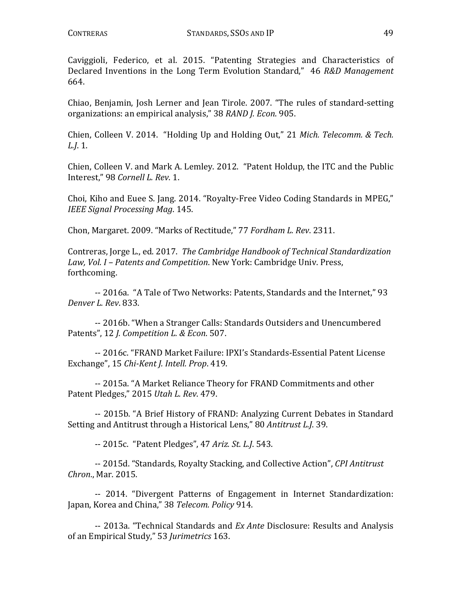Caviggioli, Federico, et al. 2015. "Patenting Strategies and Characteristics of Declared Inventions in the Long Term Evolution Standard," 46 *R&D Management* 664.

Chiao, Benjamin, Josh Lerner and Jean Tirole. 2007. "The rules of standard-setting organizations: an empirical analysis," 38 *RAND J. Econ*. 905.

Chien, Colleen V. 2014. "Holding Up and Holding Out," 21 *Mich. Telecomm. & Tech. L.J.* 1.

Chien, Colleen V. and Mark A. Lemley. 2012. "Patent Holdup, the ITC and the Public Interest," 98 Cornell L. Rev. 1.

Choi, Kiho and Euee S. Jang. 2014. "Royalty-Free Video Coding Standards in MPEG," *IEEE Signal Processing Mag.* 145.

Chon, Margaret. 2009. "Marks of Rectitude," 77 *Fordham L. Rev.* 2311.

Contreras, Jorge L., ed. 2017. The Cambridge Handbook of Technical Standardization Law, Vol. I – Patents and Competition. New York: Cambridge Univ. Press, forthcoming.

-- 2016a. "A Tale of Two Networks: Patents, Standards and the Internet," 93 *Denver L. Rev*. 833.

-- 2016b. "When a Stranger Calls: Standards Outsiders and Unencumbered Patents", 12 *J. Competition L. & Econ.* 507.

-- 2016c. "FRAND Market Failure: IPXI's Standards-Essential Patent License Exchange", 15 *Chi-Kent J. Intell. Prop.* 419.

-- 2015a. "A Market Reliance Theory for FRAND Commitments and other Patent Pledges," 2015 *Utah L. Rev*. 479.

-- 2015b. "A Brief History of FRAND: Analyzing Current Debates in Standard Setting and Antitrust through a Historical Lens," 80 Antitrust L.J. 39.

-- 2015c. "Patent Pledges", 47 *Ariz. St. L.J*. 543.

-- 2015d. "Standards, Royalty Stacking, and Collective Action", *CPI Antitrust Chron.*, Mar. 2015.

-- 2014. "Divergent Patterns of Engagement in Internet Standardization: Japan, Korea and China," 38 Telecom. Policy 914.

-- 2013a. "Technical Standards and *Ex Ante* Disclosure: Results and Analysis of an Empirical Study," 53 *Jurimetrics* 163.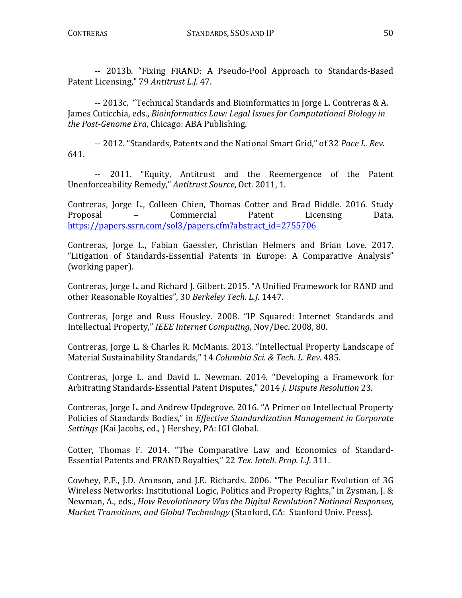-- 2013b. "Fixing FRAND: A Pseudo-Pool Approach to Standards-Based Patent Licensing," 79 Antitrust L.J. 47.

-- 2013c. "Technical Standards and Bioinformatics in Jorge L. Contreras & A. James Cuticchia, eds., *Bioinformatics Law: Legal Issues for Computational Biology in the Post-Genome Era*, Chicago: ABA Publishing.

-- 2012. "Standards, Patents and the National Smart Grid," of 32 Pace L. Rev. 641.

-- 2011. "Equity, Antitrust and the Reemergence of the Patent Unenforceability Remedy," Antitrust Source, Oct. 2011, 1.

Contreras, Jorge L., Colleen Chien, Thomas Cotter and Brad Biddle. 2016. Study Proposal  $-$  Commercial Patent Licensing Data. https://papers.ssrn.com/sol3/papers.cfm?abstract\_id=2755706

Contreras, Jorge L., Fabian Gaessler, Christian Helmers and Brian Love. 2017. "Litigation of Standards-Essential Patents in Europe: A Comparative Analysis" (working paper).

Contreras, Jorge L. and Richard J. Gilbert. 2015. "A Unified Framework for RAND and other Reasonable Royalties", 30 Berkeley Tech. L.J. 1447.

Contreras, Jorge and Russ Housley. 2008. "IP Squared: Internet Standards and Intellectual Property," IEEE Internet Computing, Nov/Dec. 2008, 80.

Contreras, Jorge L. & Charles R. McManis. 2013. "Intellectual Property Landscape of Material Sustainability Standards," 14 *Columbia Sci. & Tech. L. Rev.* 485.

Contreras, Jorge L. and David L. Newman. 2014. "Developing a Framework for Arbitrating Standards-Essential Patent Disputes," 2014 *J. Dispute Resolution* 23.

Contreras, Jorge L. and Andrew Updegrove. 2016. "A Primer on Intellectual Property Policies of Standards Bodies," in *Effective Standardization Management in Corporate* Settings (Kai Jacobs, ed., ) Hershey, PA: IGI Global.

Cotter, Thomas F. 2014. "The Comparative Law and Economics of Standard-Essential Patents and FRAND Royalties," 22 Tex. Intell. Prop. L.J. 311.

Cowhey, P.F., J.D. Aronson, and J.E. Richards. 2006. "The Peculiar Evolution of 3G Wireless Networks: Institutional Logic, Politics and Property Rights," in Zysman, J. & Newman, A., eds., *How Revolutionary Was the Digital Revolution? National Responses, Market Transitions, and Global Technology* (Stanford, CA: Stanford Univ. Press).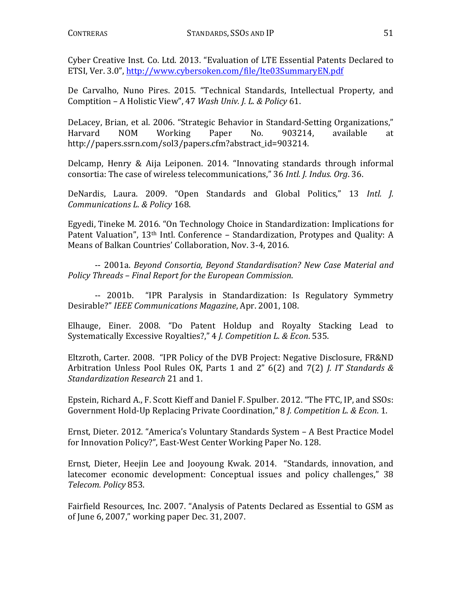Cyber Creative Inst. Co. Ltd. 2013. "Evaluation of LTE Essential Patents Declared to ETSI, Ver. 3.0", http://www.cybersoken.com/file/lte03SummaryEN.pdf

De Carvalho, Nuno Pires. 2015. "Technical Standards, Intellectual Property, and Comptition – A Holistic View", 47 *Wash Univ. J. L. & Policy* 61.

DeLacey, Brian, et al. 2006. "Strategic Behavior in Standard-Setting Organizations," Harvard NOM Working Paper No. 903214, available at http://papers.ssrn.com/sol3/papers.cfm?abstract\_id=903214.

Delcamp, Henry & Aija Leiponen. 2014. "Innovating standards through informal consortia: The case of wireless telecommunications," 36 *Intl. J. Indus. Org.* 36.

DeNardis, Laura. 2009. "Open Standards and Global Politics," 13 *Intl. J. Communications L. & Policy* 168.

Egyedi, Tineke M. 2016. "On Technology Choice in Standardization: Implications for Patent Valuation",  $13<sup>th</sup>$  Intl. Conference – Standardization, Protypes and Quality: A Means of Balkan Countries' Collaboration, Nov. 3-4, 2016.

-- 2001a. *Beyond Consortia, Beyond Standardisation? New Case Material and Policy Threads – Final Report for the European Commission*.

-- 2001b. "IPR Paralysis in Standardization: Is Regulatory Symmetry Desirable?" *IEEE Communications Magazine*, Apr. 2001, 108.

Elhauge, Einer. 2008. "Do Patent Holdup and Royalty Stacking Lead to Systematically Excessive Royalties?," 4 *J. Competition L. & Econ.* 535.

Eltzroth, Carter. 2008. "IPR Policy of the DVB Project: Negative Disclosure, FR&ND Arbitration Unless Pool Rules OK, Parts 1 and 2" 6(2) and 7(2) *J. IT Standards & Standardization Research* 21 and 1.

Epstein, Richard A., F. Scott Kieff and Daniel F. Spulber. 2012. "The FTC, IP, and SSOs: Government Hold-Up Replacing Private Coordination," 8 *J. Competition L. & Econ.* 1.

Ernst, Dieter. 2012. "America's Voluntary Standards System - A Best Practice Model for Innovation Policy?", East-West Center Working Paper No. 128.

Ernst, Dieter, Heejin Lee and Jooyoung Kwak. 2014. "Standards, innovation, and latecomer economic development: Conceptual issues and policy challenges," 38 *Telecom. Policy* 853.

Fairfield Resources, Inc. 2007. "Analysis of Patents Declared as Essential to GSM as of June 6, 2007," working paper Dec. 31, 2007.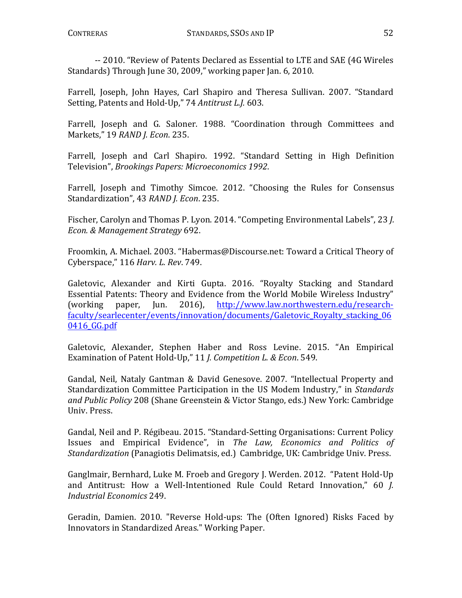-- 2010. "Review of Patents Declared as Essential to LTE and SAE (4G Wireles Standards) Through June 30, 2009," working paper Jan. 6, 2010.

Farrell, Joseph, John Hayes, Carl Shapiro and Theresa Sullivan. 2007. "Standard Setting, Patents and Hold-Up," 74 *Antitrust L.J.* 603.

Farrell, Joseph and G. Saloner. 1988. "Coordination through Committees and Markets," 19 *RAND J. Econ.* 235.

Farrell, Joseph and Carl Shapiro. 1992. "Standard Setting in High Definition Television", *Brookings Papers: Microeconomics 1992*.

Farrell, Joseph and Timothy Simcoe. 2012. "Choosing the Rules for Consensus Standardization", 43 *RAND J. Econ.* 235.

Fischer, Carolyn and Thomas P. Lyon. 2014. "Competing Environmental Labels", 23 *J. Econ. & Management Strategy* 692.

Froomkin, A. Michael. 2003. "Habermas@Discourse.net: Toward a Critical Theory of Cyberspace," 116 *Harv. L. Rev*. 749.

Galetovic, Alexander and Kirti Gupta. 2016. "Royalty Stacking and Standard Essential Patents: Theory and Evidence from the World Mobile Wireless Industry" (working paper, Jun. 2016), http://www.law.northwestern.edu/researchfaculty/searlecenter/events/innovation/documents/Galetovic\_Royalty\_stacking\_06 0416\_GG.pdf

Galetovic, Alexander, Stephen Haber and Ross Levine. 2015. "An Empirical Examination of Patent Hold-Up," 11 *J. Competition L. & Econ.* 549.

Gandal, Neil, Nataly Gantman & David Genesove. 2007. "Intellectual Property and Standardization Committee Participation in the US Modem Industry," in *Standards* and Public Policy 208 (Shane Greenstein & Victor Stango, eds.) New York: Cambridge Univ. Press.

Gandal, Neil and P. Régibeau. 2015. "Standard-Setting Organisations: Current Policy Issues and Empirical Evidence", in The Law, Economics and Politics of *Standardization* (Panagiotis Delimatsis, ed.) Cambridge, UK: Cambridge Univ. Press.

Ganglmair, Bernhard, Luke M. Froeb and Gregory J. Werden. 2012. "Patent Hold-Up and Antitrust: How a Well-Intentioned Rule Could Retard Innovation," 60 *J. Industrial Economics* 249.

Geradin, Damien. 2010. "Reverse Hold-ups: The (Often Ignored) Risks Faced by Innovators in Standardized Areas." Working Paper.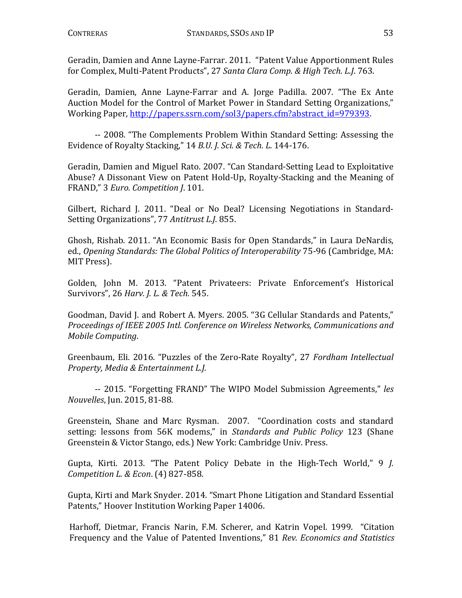Geradin, Damien and Anne Layne-Farrar. 2011. "Patent Value Apportionment Rules for Complex, Multi-Patent Products", 27 Santa Clara Comp. & High Tech. L.J. 763.

Geradin, Damien, Anne Layne-Farrar and A. Jorge Padilla. 2007. "The Ex Ante Auction Model for the Control of Market Power in Standard Setting Organizations," Working Paper, http://papers.ssrn.com/sol3/papers.cfm?abstract\_id=979393.

-- 2008. "The Complements Problem Within Standard Setting: Assessing the Evidence of Royalty Stacking," 14 *B.U. J. Sci. & Tech. L.* 144-176.

Geradin, Damien and Miguel Rato. 2007. "Can Standard-Setting Lead to Exploitative Abuse? A Dissonant View on Patent Hold-Up, Royalty-Stacking and the Meaning of FRAND," 3 *Euro.* Competition *J.* 101.

Gilbert, Richard J. 2011. "Deal or No Deal? Licensing Negotiations in Standard-Setting Organizations", 77 Antitrust L.J. 855.

Ghosh, Rishab. 2011. "An Economic Basis for Open Standards," in Laura DeNardis, ed., *Opening Standards: The Global Politics of Interoperability* 75-96 (Cambridge, MA: MIT Press).

Golden, John M. 2013. "Patent Privateers: Private Enforcement's Historical Survivors", 26 *Harv. J. L. & Tech.* 545.

Goodman, David J. and Robert A. Myers. 2005. "3G Cellular Standards and Patents," Proceedings of IEEE 2005 Intl. Conference on Wireless Networks, Communications and *Mobile Computing*.

Greenbaum, Eli. 2016. "Puzzles of the Zero-Rate Royalty", 27 *Fordham Intellectual* **Property, Media & Entertainment L.J.** 

-- 2015. "Forgetting FRAND" The WIPO Model Submission Agreements," les *Nouvelles*, Jun. 2015, 81-88.

Greenstein, Shane and Marc Rysman. 2007. "Coordination costs and standard setting: lessons from 56K modems," in *Standards and Public Policy* 123 (Shane Greenstein & Victor Stango, eds.) New York: Cambridge Univ. Press.

Gupta, Kirti. 2013. "The Patent Policy Debate in the High-Tech World," 9 *J. Competition L. & Econ*. (4) 827-858.

Gupta, Kirti and Mark Snyder. 2014. "Smart Phone Litigation and Standard Essential Patents," Hoover Institution Working Paper 14006.

Harhoff, Dietmar, Francis Narin, F.M. Scherer, and Katrin Vopel. 1999. "Citation Frequency and the Value of Patented Inventions," 81 Rev. Economics and Statistics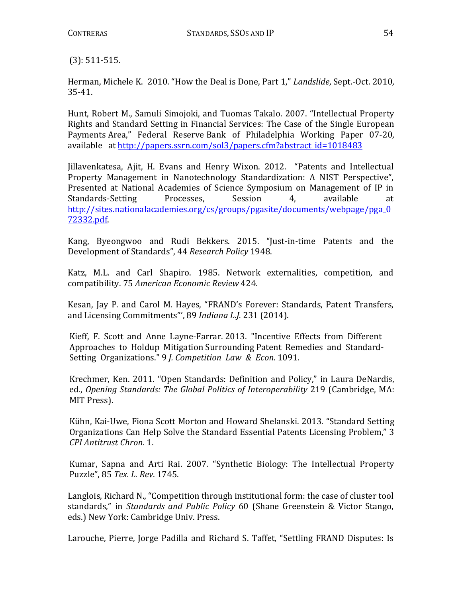$(3): 511 - 515.$ 

Herman, Michele K. 2010. "How the Deal is Done, Part 1," *Landslide*, Sept.-Oct. 2010, 35-41.

Hunt, Robert M., Samuli Simojoki, and Tuomas Takalo. 2007. "Intellectual Property Rights and Standard Setting in Financial Services: The Case of the Single European Payments Area," Federal Reserve Bank of Philadelphia Working Paper 07-20, available at http://papers.ssrn.com/sol3/papers.cfm?abstract\_id=1018483

Jillavenkatesa, Ajit, H. Evans and Henry Wixon. 2012. "Patents and Intellectual Property Management in Nanotechnology Standardization: A NIST Perspective", Presented at National Academies of Science Symposium on Management of IP in Standards-Setting Processes, Session 4, available at http://sites.nationalacademies.org/cs/groups/pgasite/documents/webpage/pga\_0 72332.pdf.

Kang, Bveongwoo and Rudi Bekkers. 2015. "Just-in-time Patents and the Development of Standards", 44 *Research Policy* 1948.

Katz, M.L. and Carl Shapiro. 1985. Network externalities, competition, and compatibility. 75 *American Economic Review* 424.

Kesan, Jay P. and Carol M. Hayes, "FRAND's Forever: Standards, Patent Transfers, and Licensing Commitments"', 89 Indiana L.J. 231 (2014).

Kieff, F. Scott and Anne Layne-Farrar. 2013. "Incentive Effects from Different Approaches to Holdup Mitigation Surrounding Patent Remedies and Standard-Setting Organizations." 9 *J. Competition Law & Econ.* 1091.

Krechmer, Ken. 2011. "Open Standards: Definition and Policy," in Laura DeNardis, ed., *Opening Standards: The Global Politics of Interoperability* 219 (Cambridge, MA: MIT Press).

Kühn, Kai-Uwe, Fiona Scott Morton and Howard Shelanski. 2013. "Standard Setting Organizations Can Help Solve the Standard Essential Patents Licensing Problem," 3 *CPI Antitrust Chron*. 1.

Kumar, Sapna and Arti Rai. 2007. "Synthetic Biology: The Intellectual Property Puzzle", 85 *Tex. L. Rev*. 1745.

Langlois, Richard N., "Competition through institutional form: the case of cluster tool standards," in *Standards and Public Policy* 60 (Shane Greenstein & Victor Stango, eds.) New York: Cambridge Univ. Press.

Larouche, Pierre, Jorge Padilla and Richard S. Taffet, "Settling FRAND Disputes: Is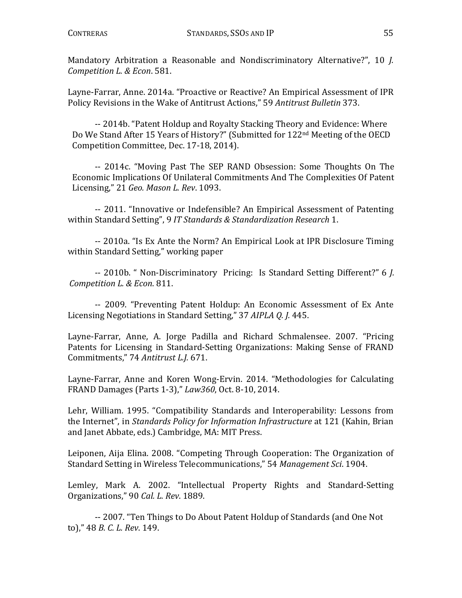Mandatory Arbitration a Reasonable and Nondiscriminatory Alternative?", 10 *J. Competition L. & Econ*. 581.

Layne-Farrar, Anne. 2014a. "Proactive or Reactive? An Empirical Assessment of IPR Policy Revisions in the Wake of Antitrust Actions," 59 Antitrust Bulletin 373.

-- 2014b. "Patent Holdup and Royalty Stacking Theory and Evidence: Where Do We Stand After 15 Years of History?" (Submitted for 122<sup>nd</sup> Meeting of the OECD Competition Committee, Dec. 17-18, 2014).

-- 2014c. "Moving Past The SEP RAND Obsession: Some Thoughts On The Economic Implications Of Unilateral Commitments And The Complexities Of Patent Licensing," 21 *Geo. Mason L. Rev*. 1093.

-- 2011. "Innovative or Indefensible? An Empirical Assessment of Patenting within Standard Setting", 9 IT Standards & Standardization Research 1.

-- 2010a. "Is Ex Ante the Norm? An Empirical Look at IPR Disclosure Timing within Standard Setting," working paper

-- 2010b. " Non-Discriminatory Pricing: Is Standard Setting Different?" 6 *J. Competition L. & Econ.* 811.

-- 2009. "Preventing Patent Holdup: An Economic Assessment of Ex Ante Licensing Negotiations in Standard Setting," 37 *AIPLA Q. J.* 445.

Layne-Farrar, Anne, A. Jorge Padilla and Richard Schmalensee. 2007. "Pricing Patents for Licensing in Standard-Setting Organizations: Making Sense of FRAND Commitments," 74 Antitrust L.J. 671.

Layne-Farrar, Anne and Koren Wong-Ervin. 2014. "Methodologies for Calculating FRAND Damages (Parts 1-3)," *Law360*, Oct. 8-10, 2014.

Lehr, William. 1995. "Compatibility Standards and Interoperability: Lessons from the Internet", in *Standards Policy for Information Infrastructure* at 121 (Kahin, Brian and Janet Abbate, eds.) Cambridge, MA: MIT Press.

Leiponen, Aija Elina. 2008. "Competing Through Cooperation: The Organization of Standard Setting in Wireless Telecommunications," 54 *Management Sci.* 1904.

Lemley, Mark A. 2002. "Intellectual Property Rights and Standard-Setting Organizations," 90 *Cal. L. Rev*. 1889.

-- 2007. "Ten Things to Do About Patent Holdup of Standards (and One Not to)," 48 *B. C. L. Rev*. 149.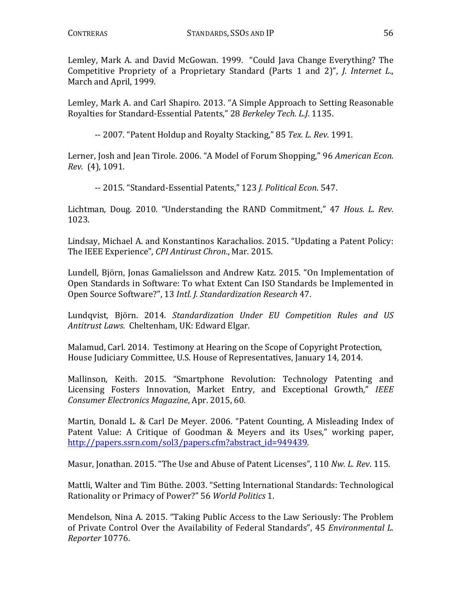Lemley, Mark A. and David McGowan. 1999. "Could Java Change Everything? The Competitive Propriety of a Proprietary Standard (Parts 1 and 2)", *J. Internet L.*, March and April, 1999.

Lemley, Mark A. and Carl Shapiro. 2013. "A Simple Approach to Setting Reasonable Royalties for Standard-Essential Patents," 28 Berkeley Tech. L.J. 1135.

-- 2007. "Patent Holdup and Royalty Stacking," 85 Tex. L. Rev. 1991.

Lerner, Josh and Jean Tirole. 2006. "A Model of Forum Shopping," 96 *American Econ. Rev.* (4), 1091.

-- 2015. "Standard-Essential Patents," 123 *J. Political Econ*. 547.

Lichtman, Doug. 2010. "Understanding the RAND Commitment," 47 *Hous. L. Rev.* 1023. 

Lindsay, Michael A. and Konstantinos Karachalios. 2015. "Updating a Patent Policy: The IEEE Experience", *CPI Antirust Chron.*, Mar. 2015.

Lundell, Björn, Jonas Gamalielsson and Andrew Katz. 2015. "On Implementation of Open Standards in Software: To what Extent Can ISO Standards be Implemented in Open Source Software?", 13 *Intl. J. Standardization Research* 47.

Lundqvist, Björn. 2014. *Standardization Under EU Competition Rules and US* Antitrust Laws. Cheltenham, UK: Edward Elgar.

Malamud, Carl. 2014. Testimony at Hearing on the Scope of Copyright Protection, House Judiciary Committee, U.S. House of Representatives, January 14, 2014.

Mallinson, Keith. 2015. "Smartphone Revolution: Technology Patenting and Licensing Fosters Innovation, Market Entry, and Exceptional Growth," IEEE *Consumer Electronics Magazine, Apr. 2015, 60.* 

Martin, Donald L. & Carl De Meyer. 2006. "Patent Counting, A Misleading Index of Patent Value: A Critique of Goodman & Meyers and its Uses," working paper, http://papers.ssrn.com/sol3/papers.cfm?abstract\_id=949439.

Masur, Jonathan. 2015. "The Use and Abuse of Patent Licenses", 110 Nw. L. Rev. 115.

Mattli, Walter and Tim Büthe. 2003. "Setting International Standards: Technological Rationality or Primacy of Power?" 56 *World Politics* 1.

Mendelson, Nina A. 2015. "Taking Public Access to the Law Seriously: The Problem of Private Control Over the Availability of Federal Standards", 45 *Environmental L. Reporter* 10776.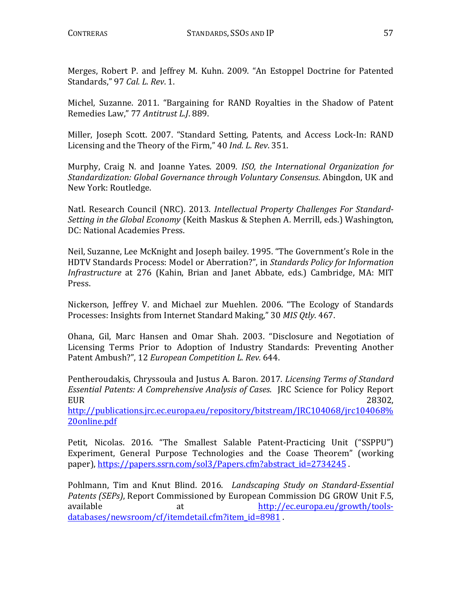Merges, Robert P. and Jeffrey M. Kuhn. 2009. "An Estoppel Doctrine for Patented Standards," 97 *Cal. L. Rev.* 1.

Michel, Suzanne. 2011. "Bargaining for RAND Royalties in the Shadow of Patent Remedies Law," 77 Antitrust L.J. 889.

Miller, Joseph Scott. 2007. "Standard Setting, Patents, and Access Lock-In: RAND Licensing and the Theory of the Firm," 40 *Ind. L. Rev.* 351.

Murphy, Craig N. and Joanne Yates. 2009. *ISO, the International Organization for Standardization: Global Governance through Voluntary Consensus*. Abingdon, UK and New York: Routledge.

Natl. Research Council (NRC). 2013. *Intellectual Property Challenges For Standard-Setting in the Global Economy* (Keith Maskus & Stephen A. Merrill, eds.) Washington, DC: National Academies Press.

Neil, Suzanne, Lee McKnight and Joseph bailey. 1995. "The Government's Role in the HDTV Standards Process: Model or Aberration?", in *Standards Policy for Information Infrastructure* at 276 (Kahin, Brian and Janet Abbate, eds.) Cambridge, MA: MIT Press.

Nickerson, Jeffrey V. and Michael zur Muehlen. 2006. "The Ecology of Standards Processes: Insights from Internet Standard Making," 30 *MIS Qtly*. 467.

Ohana, Gil, Marc Hansen and Omar Shah. 2003. "Disclosure and Negotiation of Licensing Terms Prior to Adoption of Industry Standards: Preventing Another Patent Ambush?", 12 *European Competition L. Rev.* 644.

Pentheroudakis, Chryssoula and Justus A. Baron. 2017. *Licensing Terms of Standard Essential Patents: A Comprehensive Analysis of Cases.* JRC Science for Policy Report  $EUR$  28302,

http://publications.jrc.ec.europa.eu/repository/bitstream/JRC104068/jrc104068% 20online.pdf

Petit, Nicolas. 2016. "The Smallest Salable Patent-Practicing Unit ("SSPPU") Experiment, General Purpose Technologies and the Coase Theorem" (working paper), https://papers.ssrn.com/sol3/Papers.cfm?abstract\_id=2734245.

Pohlmann, Tim and Knut Blind. 2016. Landscaping Study on Standard-Essential *Patents* (SEPs), Report Commissioned by European Commission DG GROW Unit F.5, available at the at the http://ec.europa.eu/growth/toolsdatabases/newsroom/cf/itemdetail.cfm?item\_id=8981 .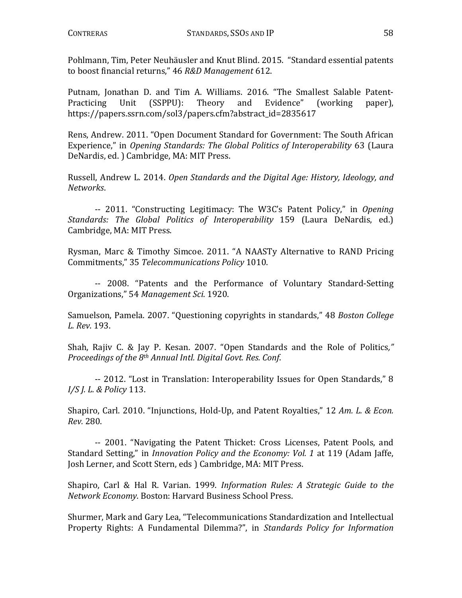Pohlmann, Tim, Peter Neuhäusler and Knut Blind. 2015. "Standard essential patents to boost financial returns," 46 *R&D Management* 612.

Putnam, Jonathan D. and Tim A. Williams. 2016. "The Smallest Salable Patent-Practicing Unit (SSPPU): Theory and Evidence" (working paper), https://papers.ssrn.com/sol3/papers.cfm?abstract\_id=2835617

Rens, Andrew. 2011. "Open Document Standard for Government: The South African Experience," in *Opening Standards: The Global Politics of Interoperability* 63 (Laura DeNardis, ed. ) Cambridge, MA: MIT Press.

Russell, Andrew L. 2014. *Open Standards and the Digital Age: History, Ideology, and Networks*.

-- 2011. "Constructing Legitimacy: The W3C's Patent Policy," in *Opening* Standards: The Global Politics of Interoperability 159 (Laura DeNardis, ed.) Cambridge, MA: MIT Press.

Rysman, Marc & Timothy Simcoe. 2011. "A NAASTy Alternative to RAND Pricing Commitments," 35 *Telecommunications Policy* 1010.

-- 2008. "Patents and the Performance of Voluntary Standard-Setting Organizations," 54 Management Sci. 1920.

Samuelson, Pamela. 2007. "Questioning copyrights in standards," 48 *Boston College L. Rev*. 193.

Shah, Rajiv C. & Jay P. Kesan. 2007. "Open Standards and the Role of Politics," *Proceedings of the 8<sup>th</sup> Annual Intl. Digital Govt. Res. Conf.* 

-- 2012. "Lost in Translation: Interoperability Issues for Open Standards," 8 *I/S J. L. & Policy* 113.

Shapiro, Carl. 2010. "Injunctions, Hold-Up, and Patent Royalties," 12 Am. L. & Econ. *Rev.* 280.

-- 2001. "Navigating the Patent Thicket: Cross Licenses, Patent Pools, and Standard Setting," in *Innovation Policy and the Economy: Vol. 1* at 119 (Adam Jaffe, Josh Lerner, and Scott Stern, eds ) Cambridge, MA: MIT Press.

Shapiro, Carl & Hal R. Varian. 1999. *Information Rules: A Strategic Guide to the Network Economy*. Boston: Harvard Business School Press.

Shurmer, Mark and Gary Lea, "Telecommunications Standardization and Intellectual Property Rights: A Fundamental Dilemma?", in *Standards Policy for Information*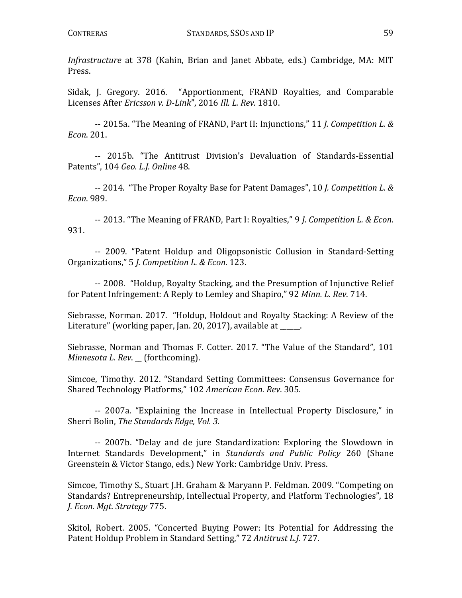*Infrastructure* at 378 (Kahin, Brian and Janet Abbate, eds.) Cambridge, MA: MIT Press.

Sidak, J. Gregory. 2016. "Apportionment, FRAND Royalties, and Comparable Licenses After *Ericsson v. D-Link"*, 2016 *Ill. L. Rev.* 1810.

-- 2015a. "The Meaning of FRAND, Part II: Injunctions," 11 *J. Competition L. & Econ*. 201.

-- 2015b. "The Antitrust Division's Devaluation of Standards-Essential Patents", 104 *Geo. L.J. Online* 48.

-- 2014. "The Proper Royalty Base for Patent Damages", 10 *J. Competition L. & Econ*. 989.

-- 2013. "The Meaning of FRAND, Part I: Royalties," 9 *J. Competition L. & Econ*. 931.

-- 2009. "Patent Holdup and Oligopsonistic Collusion in Standard-Setting Organizations," 5 *J. Competition L. & Econ*. 123.

-- 2008. "Holdup, Royalty Stacking, and the Presumption of Injunctive Relief for Patent Infringement: A Reply to Lemley and Shapiro," 92 Minn. L. Rev. 714.

Siebrasse, Norman. 2017. "Holdup, Holdout and Royalty Stacking: A Review of the Literature" (working paper, Jan. 20, 2017), available at  $\frac{1}{\sqrt{2}}$ .

Siebrasse, Norman and Thomas F. Cotter. 2017. "The Value of the Standard", 101 *Minnesota L. Rev.* (forthcoming).

Simcoe, Timothy. 2012. "Standard Setting Committees: Consensus Governance for Shared Technology Platforms," 102 American Econ. Rev. 305.

-- 2007a. "Explaining the Increase in Intellectual Property Disclosure," in Sherri Bolin, *The Standards Edge, Vol. 3.* 

-- 2007b. "Delay and de jure Standardization: Exploring the Slowdown in Internet Standards Development," in *Standards and Public Policy* 260 (Shane Greenstein & Victor Stango, eds.) New York: Cambridge Univ. Press.

Simcoe, Timothy S., Stuart J.H. Graham & Maryann P. Feldman. 2009. "Competing on Standards? Entrepreneurship, Intellectual Property, and Platform Technologies", 18 *J. Econ. Mgt. Strategy* 775.

Skitol, Robert. 2005. "Concerted Buying Power: Its Potential for Addressing the Patent Holdup Problem in Standard Setting," 72 Antitrust L.J. 727.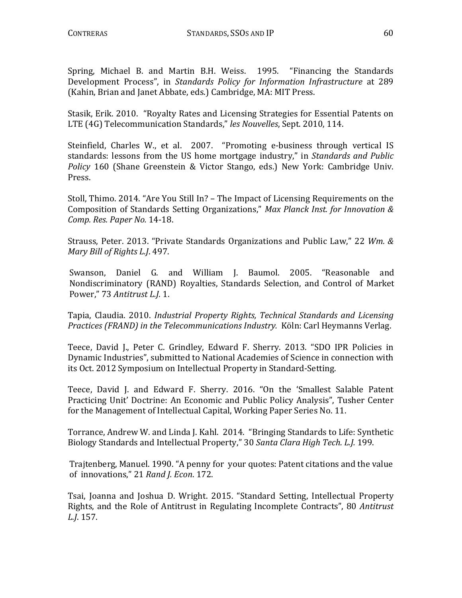Spring, Michael B. and Martin B.H. Weiss. 1995. "Financing the Standards Development Process", in *Standards Policy for Information Infrastructure* at 289 (Kahin, Brian and Janet Abbate, eds.) Cambridge, MA: MIT Press.

Stasik, Erik. 2010. "Royalty Rates and Licensing Strategies for Essential Patents on LTE (4G) Telecommunication Standards," les Nouvelles, Sept. 2010, 114.

Steinfield, Charles W., et al. 2007. "Promoting e-business through vertical IS standards: lessons from the US home mortgage industry," in *Standards and Public Policy* 160 (Shane Greenstein & Victor Stango, eds.) New York: Cambridge Univ. Press.

Stoll, Thimo. 2014. "Are You Still In? – The Impact of Licensing Requirements on the Composition of Standards Setting Organizations," Max Planck Inst. for Innovation & *Comp. Res. Paper No.* 14-18.

Strauss, Peter. 2013. "Private Standards Organizations and Public Law," 22 *Wm. & Mary Bill of Rights L.J.* 497.

Swanson, Daniel G. and William J. Baumol. 2005. "Reasonable and Nondiscriminatory (RAND) Royalties, Standards Selection, and Control of Market Power," 73 Antitrust L.J. 1.

Tapia, Claudia. 2010. *Industrial Property Rights, Technical Standards and Licensing Practices (FRAND)* in the Telecommunications Industry. Köln: Carl Heymanns Verlag.

Teece, David J., Peter C. Grindley, Edward F. Sherry. 2013. "SDO IPR Policies in Dynamic Industries", submitted to National Academies of Science in connection with its Oct. 2012 Symposium on Intellectual Property in Standard-Setting.

Teece, David J. and Edward F. Sherry. 2016. "On the 'Smallest Salable Patent Practicing Unit' Doctrine: An Economic and Public Policy Analysis", Tusher Center for the Management of Intellectual Capital, Working Paper Series No. 11.

Torrance, Andrew W. and Linda J. Kahl. 2014. "Bringing Standards to Life: Synthetic Biology Standards and Intellectual Property," 30 Santa Clara High Tech. L.J. 199.

Trajtenberg, Manuel. 1990. "A penny for your quotes: Patent citations and the value of innovations," 21 Rand J. Econ. 172.

Tsai, Joanna and Joshua D. Wright. 2015. "Standard Setting, Intellectual Property Rights, and the Role of Antitrust in Regulating Incomplete Contracts", 80 Antitrust *L.J*. 157.